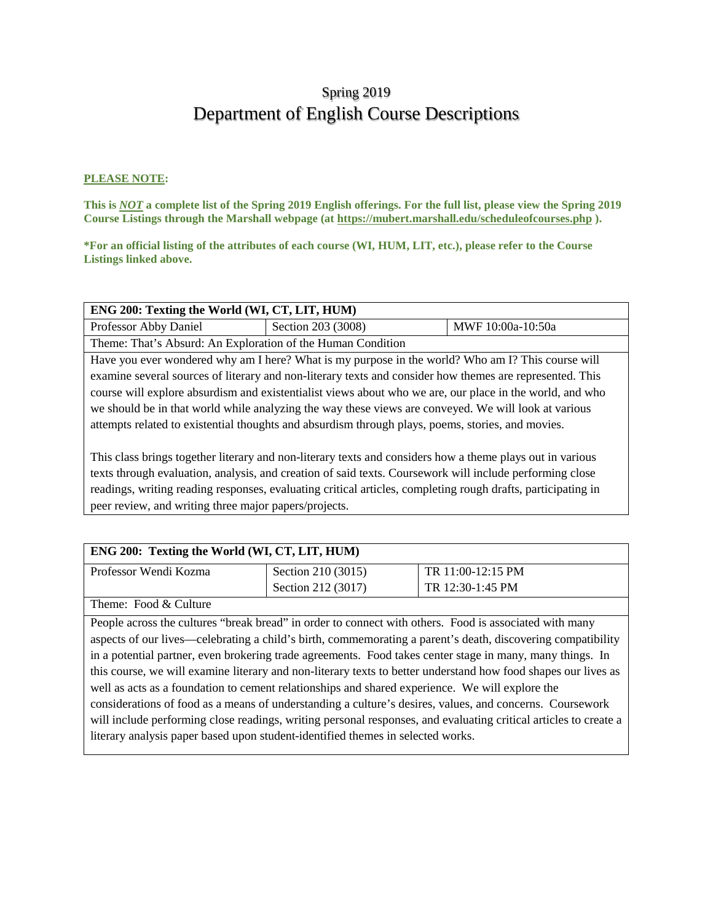# Spring 2019 Department of English Course Descriptions

#### **PLEASE NOTE:**

**This is** *NOT* **a complete list of the Spring 2019 English offerings. For the full list, please view the Spring 2019 Course Listings through the Marshall webpage (at https://mubert.marshall.edu/scheduleofcourses.php ).**

**\*For an official listing of the attributes of each course (WI, HUM, LIT, etc.), please refer to the Course Listings linked above.**

| ENG 200: Texting the World (WI, CT, LIT, HUM)                                                                |                                                             |                                                                                                          |
|--------------------------------------------------------------------------------------------------------------|-------------------------------------------------------------|----------------------------------------------------------------------------------------------------------|
| Professor Abby Daniel                                                                                        | Section 203 (3008)<br>MWF 10:00a-10:50a                     |                                                                                                          |
|                                                                                                              | Theme: That's Absurd: An Exploration of the Human Condition |                                                                                                          |
| Have you ever wondered why am I here? What is my purpose in the world? Who am I? This course will            |                                                             |                                                                                                          |
| examine several sources of literary and non-literary texts and consider how themes are represented. This     |                                                             |                                                                                                          |
|                                                                                                              |                                                             | course will explore absurdism and existentialist views about who we are, our place in the world, and who |
| we should be in that world while analyzing the way these views are conveyed. We will look at various         |                                                             |                                                                                                          |
| attempts related to existential thoughts and absurdism through plays, poems, stories, and movies.            |                                                             |                                                                                                          |
|                                                                                                              |                                                             |                                                                                                          |
| This class brings together literary and non-literary texts and considers how a theme plays out in various    |                                                             |                                                                                                          |
| texts through evaluation, analysis, and creation of said texts. Coursework will include performing close     |                                                             |                                                                                                          |
| readings, writing reading responses, evaluating critical articles, completing rough drafts, participating in |                                                             |                                                                                                          |
| peer review, and writing three major papers/projects.                                                        |                                                             |                                                                                                          |

| ENG 200: Texting the World (WI, CT, LIT, HUM) |                    |                   |
|-----------------------------------------------|--------------------|-------------------|
| Professor Wendi Kozma                         | Section 210 (3015) | TR 11:00-12:15 PM |
|                                               | Section 212 (3017) | TR 12:30-1:45 PM  |
| Theme: Food & Culture                         |                    |                   |

People across the cultures "break bread" in order to connect with others. Food is associated with many aspects of our lives—celebrating a child's birth, commemorating a parent's death, discovering compatibility in a potential partner, even brokering trade agreements. Food takes center stage in many, many things. In this course, we will examine literary and non-literary texts to better understand how food shapes our lives as well as acts as a foundation to cement relationships and shared experience. We will explore the considerations of food as a means of understanding a culture's desires, values, and concerns. Coursework will include performing close readings, writing personal responses, and evaluating critical articles to create a literary analysis paper based upon student-identified themes in selected works.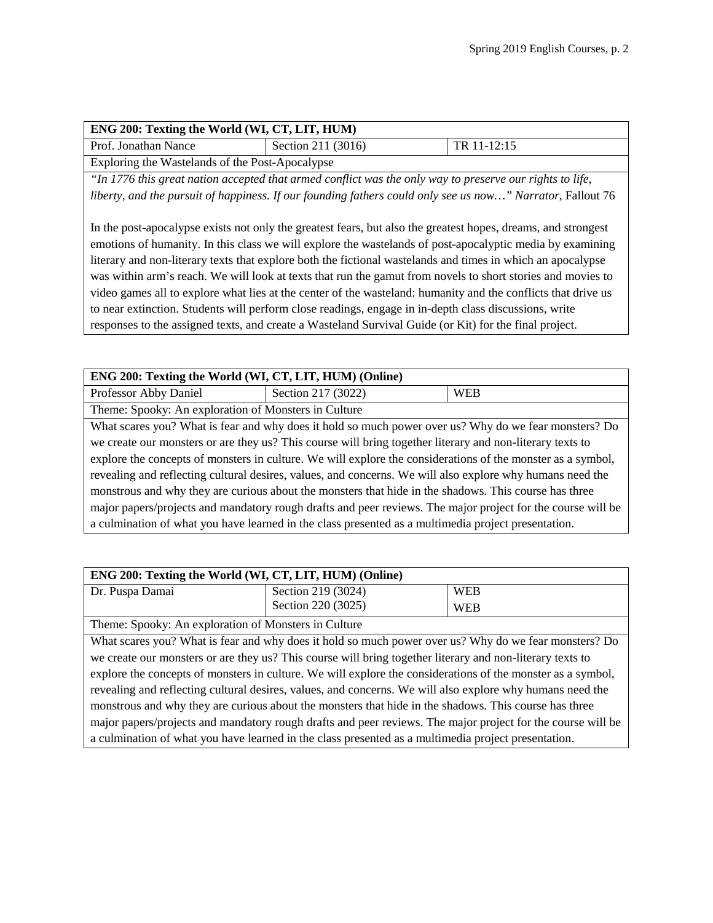| ENG 200: Texting the World (WI, CT, LIT, HUM)   |                    |             |  |
|-------------------------------------------------|--------------------|-------------|--|
| Prof. Jonathan Nance                            | Section 211 (3016) | TR 11-12:15 |  |
| Exploring the Wastelands of the Post-Apocalypse |                    |             |  |

*"In 1776 this great nation accepted that armed conflict was the only way to preserve our rights to life, liberty, and the pursuit of happiness. If our founding fathers could only see us now..." Narrator, Fallout 76* 

In the post-apocalypse exists not only the greatest fears, but also the greatest hopes, dreams, and strongest emotions of humanity. In this class we will explore the wastelands of post-apocalyptic media by examining literary and non-literary texts that explore both the fictional wastelands and times in which an apocalypse was within arm's reach. We will look at texts that run the gamut from novels to short stories and movies to video games all to explore what lies at the center of the wasteland: humanity and the conflicts that drive us to near extinction. Students will perform close readings, engage in in-depth class discussions, write responses to the assigned texts, and create a Wasteland Survival Guide (or Kit) for the final project.

| ENG 200: Texting the World (WI, CT, LIT, HUM) (Online)                                                      |                                                                                                       |            |
|-------------------------------------------------------------------------------------------------------------|-------------------------------------------------------------------------------------------------------|------------|
| Professor Abby Daniel                                                                                       | Section 217 (3022)                                                                                    | <b>WEB</b> |
| Theme: Spooky: An exploration of Monsters in Culture                                                        |                                                                                                       |            |
|                                                                                                             | What scares you? What is fear and why does it hold so much power over us? Why do we fear monsters? Do |            |
| we create our monsters or are they us? This course will bring together literary and non-literary texts to   |                                                                                                       |            |
| explore the concepts of monsters in culture. We will explore the considerations of the monster as a symbol, |                                                                                                       |            |
| revealing and reflecting cultural desires, values, and concerns. We will also explore why humans need the   |                                                                                                       |            |
| monstrous and why they are curious about the monsters that hide in the shadows. This course has three       |                                                                                                       |            |
| major papers/projects and mandatory rough drafts and peer reviews. The major project for the course will be |                                                                                                       |            |
| a culmination of what you have learned in the class presented as a multimedia project presentation.         |                                                                                                       |            |

| ENG 200: Texting the World (WI, CT, LIT, HUM) (Online)                                                      |                    |            |
|-------------------------------------------------------------------------------------------------------------|--------------------|------------|
| Dr. Puspa Damai                                                                                             | Section 219 (3024) | <b>WEB</b> |
|                                                                                                             | Section 220 (3025) | <b>WEB</b> |
| Theme: Spooky: An exploration of Monsters in Culture                                                        |                    |            |
| What scares you? What is fear and why does it hold so much power over us? Why do we fear monsters? Do       |                    |            |
| we create our monsters or are they us? This course will bring together literary and non-literary texts to   |                    |            |
| explore the concepts of monsters in culture. We will explore the considerations of the monster as a symbol, |                    |            |
| revealing and reflecting cultural desires, values, and concerns. We will also explore why humans need the   |                    |            |
| monstrous and why they are curious about the monsters that hide in the shadows. This course has three       |                    |            |

major papers/projects and mandatory rough drafts and peer reviews. The major project for the course will be a culmination of what you have learned in the class presented as a multimedia project presentation.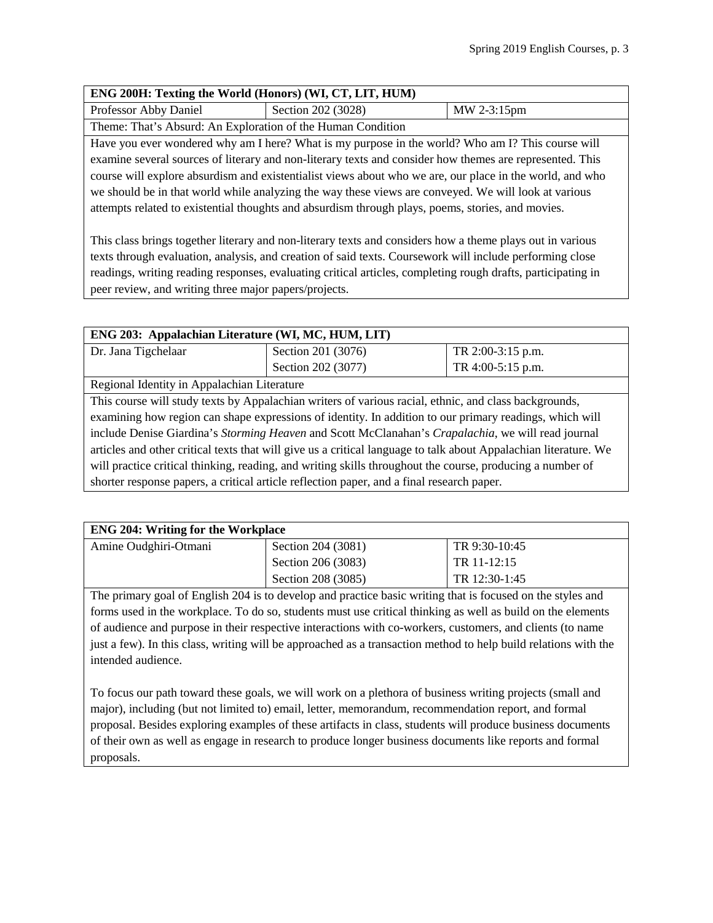| ENG 200H: Texting the World (Honors) (WI, CT, LIT, HUM) |  |
|---------------------------------------------------------|--|
|                                                         |  |

Professor Abby Daniel Section 202 (3028) MW 2-3:15pm

Theme: That's Absurd: An Exploration of the Human Condition

Have you ever wondered why am I here? What is my purpose in the world? Who am I? This course will examine several sources of literary and non-literary texts and consider how themes are represented. This course will explore absurdism and existentialist views about who we are, our place in the world, and who we should be in that world while analyzing the way these views are conveyed. We will look at various attempts related to existential thoughts and absurdism through plays, poems, stories, and movies.

This class brings together literary and non-literary texts and considers how a theme plays out in various texts through evaluation, analysis, and creation of said texts. Coursework will include performing close readings, writing reading responses, evaluating critical articles, completing rough drafts, participating in peer review, and writing three major papers/projects.

| ENG 203: Appalachian Literature (WI, MC, HUM, LIT)                                                               |                    |                   |
|------------------------------------------------------------------------------------------------------------------|--------------------|-------------------|
| Dr. Jana Tigchelaar                                                                                              | Section 201 (3076) | TR 2:00-3:15 p.m. |
|                                                                                                                  | Section 202 (3077) | TR 4:00-5:15 p.m. |
| Regional Identity in Appalachian Literature                                                                      |                    |                   |
| This course will study texts by Appalachian writers of various racial, ethnic, and class backgrounds,            |                    |                   |
| examining how region can shape expressions of identity. In addition to our primary readings, which will          |                    |                   |
| include Denise Giardina's Storming Heaven and Scott McClanahan's Crapalachia, we will read journal               |                    |                   |
| articles and other critical texts that will give us a critical language to talk about Appalachian literature. We |                    |                   |
| will practice critical thinking, reading, and writing skills throughout the course, producing a number of        |                    |                   |
| shorter response papers, a critical article reflection paper, and a final research paper.                        |                    |                   |

| <b>ENG 204: Writing for the Workplace</b> |                    |               |
|-------------------------------------------|--------------------|---------------|
| Amine Oudghiri-Otmani                     | Section 204 (3081) | TR 9:30-10:45 |
|                                           | Section 206 (3083) | TR 11-12:15   |
|                                           | Section 208 (3085) | TR 12:30-1:45 |

The primary goal of English 204 is to develop and practice basic writing that is focused on the styles and forms used in the workplace. To do so, students must use critical thinking as well as build on the elements of audience and purpose in their respective interactions with co-workers, customers, and clients (to name just a few). In this class, writing will be approached as a transaction method to help build relations with the intended audience.

To focus our path toward these goals, we will work on a plethora of business writing projects (small and major), including (but not limited to) email, letter, memorandum, recommendation report, and formal proposal. Besides exploring examples of these artifacts in class, students will produce business documents of their own as well as engage in research to produce longer business documents like reports and formal proposals.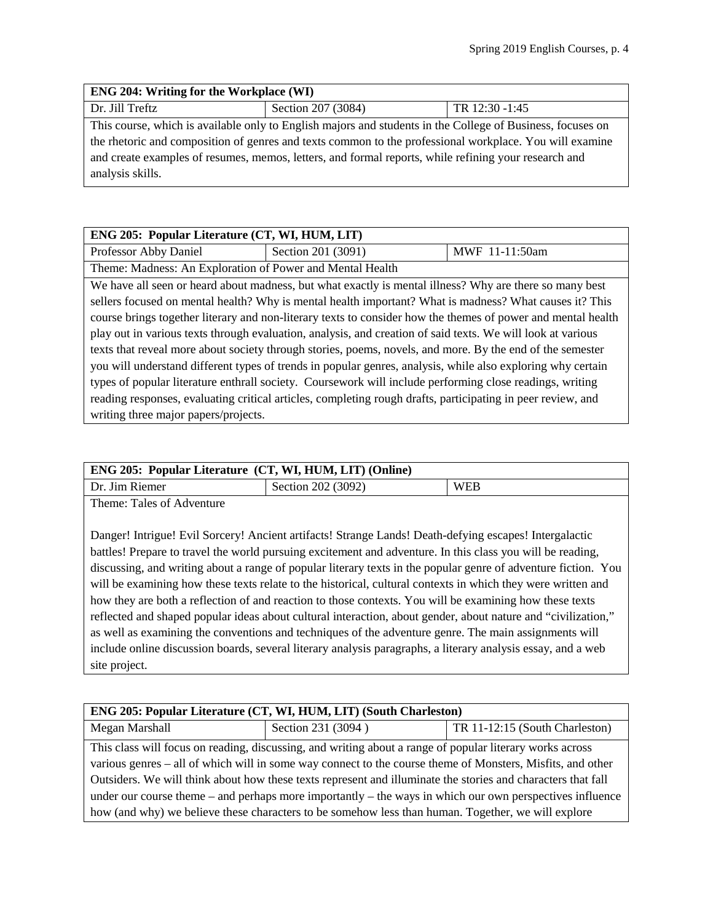| <b>ENG 204: Writing for the Workplace (WI)</b>                                                             |                    |                |
|------------------------------------------------------------------------------------------------------------|--------------------|----------------|
| Dr. Jill Treftz                                                                                            | Section 207 (3084) | TR 12:30 -1:45 |
| This course, which is available only to English majors and students in the College of Business, focuses on |                    |                |
| the rhetoric and composition of genres and texts common to the professional workplace. You will examine    |                    |                |
| and create examples of resumes, memos, letters, and formal reports, while refining your research and       |                    |                |
| analysis skills.                                                                                           |                    |                |

| ENG 205: Popular Literature (CT, WI, HUM, LIT)                                                               |                                                                                                         |                |
|--------------------------------------------------------------------------------------------------------------|---------------------------------------------------------------------------------------------------------|----------------|
| Professor Abby Daniel                                                                                        | Section 201 (3091)                                                                                      | MWF 11-11:50am |
| Theme: Madness: An Exploration of Power and Mental Health                                                    |                                                                                                         |                |
|                                                                                                              | We have all seen or heard about madness, but what exactly is mental illness? Why are there so many best |                |
| sellers focused on mental health? Why is mental health important? What is madness? What causes it? This      |                                                                                                         |                |
| course brings together literary and non-literary texts to consider how the themes of power and mental health |                                                                                                         |                |
| play out in various texts through evaluation, analysis, and creation of said texts. We will look at various  |                                                                                                         |                |
| texts that reveal more about society through stories, poems, novels, and more. By the end of the semester    |                                                                                                         |                |
| you will understand different types of trends in popular genres, analysis, while also exploring why certain  |                                                                                                         |                |
| types of popular literature enthrall society. Coursework will include performing close readings, writing     |                                                                                                         |                |
| reading responses, evaluating critical articles, completing rough drafts, participating in peer review, and  |                                                                                                         |                |
| writing three major papers/projects.                                                                         |                                                                                                         |                |

| <b>ENG 205: Popular Literature (CT, WI, HUM, LIT) (Online)</b> |                    |            |
|----------------------------------------------------------------|--------------------|------------|
| Dr. Jim Riemer                                                 | Section 202 (3092) | <b>WEB</b> |
| Thoma: Tolge of Advantura                                      |                    |            |

Theme: Tales of Adventure

Danger! Intrigue! Evil Sorcery! Ancient artifacts! Strange Lands! Death-defying escapes! Intergalactic battles! Prepare to travel the world pursuing excitement and adventure. In this class you will be reading, discussing, and writing about a range of popular literary texts in the popular genre of adventure fiction. You will be examining how these texts relate to the historical, cultural contexts in which they were written and how they are both a reflection of and reaction to those contexts. You will be examining how these texts reflected and shaped popular ideas about cultural interaction, about gender, about nature and "civilization," as well as examining the conventions and techniques of the adventure genre. The main assignments will include online discussion boards, several literary analysis paragraphs, a literary analysis essay, and a web site project.

| ENG 205: Popular Literature (CT, WI, HUM, LIT) (South Charleston)                                            |                    |                                |
|--------------------------------------------------------------------------------------------------------------|--------------------|--------------------------------|
| Megan Marshall                                                                                               | Section 231 (3094) | TR 11-12:15 (South Charleston) |
| This class will focus on reading, discussing, and writing about a range of popular literary works across     |                    |                                |
| various genres – all of which will in some way connect to the course theme of Monsters, Misfits, and other   |                    |                                |
| Outsiders. We will think about how these texts represent and illuminate the stories and characters that fall |                    |                                |
| under our course theme – and perhaps more importantly – the ways in which our own perspectives influence     |                    |                                |
| how (and why) we believe these characters to be somehow less than human. Together, we will explore           |                    |                                |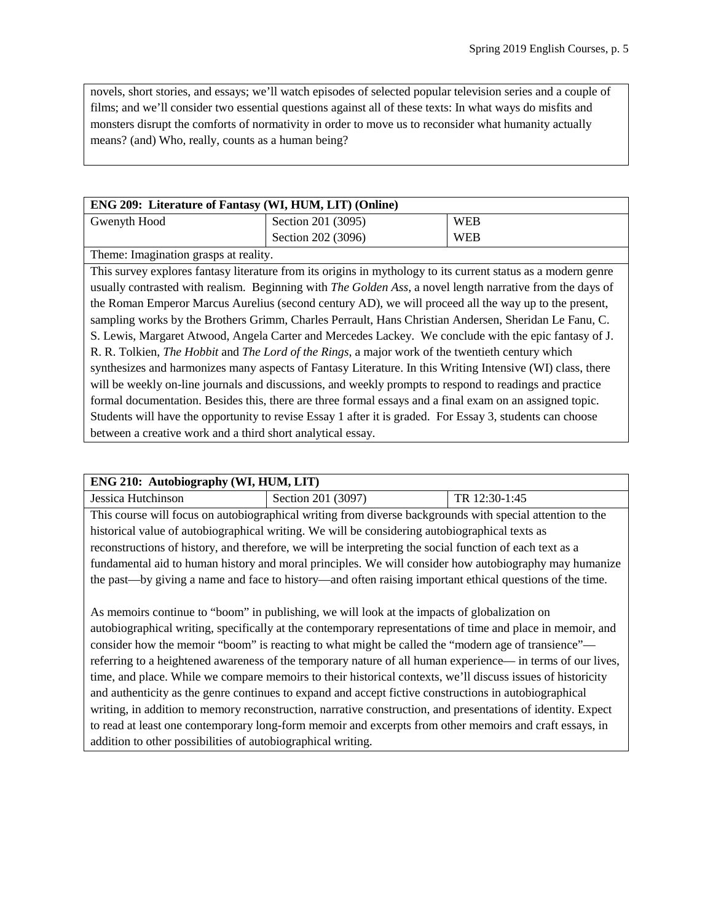novels, short stories, and essays; we'll watch episodes of selected popular television series and a couple of films; and we'll consider two essential questions against all of these texts: In what ways do misfits and monsters disrupt the comforts of normativity in order to move us to reconsider what humanity actually means? (and) Who, really, counts as a human being?

| <b>ENG 209: Literature of Fantasy (WI, HUM, LIT) (Online)</b>                                                                                                                                                                               |                    |            |
|---------------------------------------------------------------------------------------------------------------------------------------------------------------------------------------------------------------------------------------------|--------------------|------------|
| Gwenyth Hood                                                                                                                                                                                                                                | Section 201 (3095) | <b>WEB</b> |
|                                                                                                                                                                                                                                             | Section 202 (3096) | <b>WEB</b> |
| Theme: Imagination grasps at reality.                                                                                                                                                                                                       |                    |            |
| $T = 1$<br>$\alpha$ is the set of the set of the set of the set of the set of the set of the set of the set of the set of the set of the set of the set of the set of the set of the set of the set of the set of the set of the set of the |                    |            |

This survey explores fantasy literature from its origins in mythology to its current status as a modern genre usually contrasted with realism. Beginning with *The Golden Ass*, a novel length narrative from the days of the Roman Emperor Marcus Aurelius (second century AD), we will proceed all the way up to the present, sampling works by the Brothers Grimm, Charles Perrault, Hans Christian Andersen, Sheridan Le Fanu, C. S. Lewis, Margaret Atwood, Angela Carter and Mercedes Lackey. We conclude with the epic fantasy of J. R. R. Tolkien, *The Hobbit* and *The Lord of the Rings*, a major work of the twentieth century which synthesizes and harmonizes many aspects of Fantasy Literature. In this Writing Intensive (WI) class, there will be weekly on-line journals and discussions, and weekly prompts to respond to readings and practice formal documentation. Besides this, there are three formal essays and a final exam on an assigned topic. Students will have the opportunity to revise Essay 1 after it is graded. For Essay 3, students can choose between a creative work and a third short analytical essay.

#### **ENG 210: Autobiography (WI, HUM, LIT)**

**Jessica Hutchinson** Section 201 (3097) TR 12:30-1:45 This course will focus on autobiographical writing from diverse backgrounds with special attention to the historical value of autobiographical writing. We will be considering autobiographical texts as reconstructions of history, and therefore, we will be interpreting the social function of each text as a fundamental aid to human history and moral principles. We will consider how autobiography may humanize the past—by giving a name and face to history—and often raising important ethical questions of the time.

As memoirs continue to "boom" in publishing, we will look at the impacts of globalization on autobiographical writing, specifically at the contemporary representations of time and place in memoir, and consider how the memoir "boom" is reacting to what might be called the "modern age of transience" referring to a heightened awareness of the temporary nature of all human experience— in terms of our lives, time, and place. While we compare memoirs to their historical contexts, we'll discuss issues of historicity and authenticity as the genre continues to expand and accept fictive constructions in autobiographical writing, in addition to memory reconstruction, narrative construction, and presentations of identity. Expect to read at least one contemporary long-form memoir and excerpts from other memoirs and craft essays, in addition to other possibilities of autobiographical writing.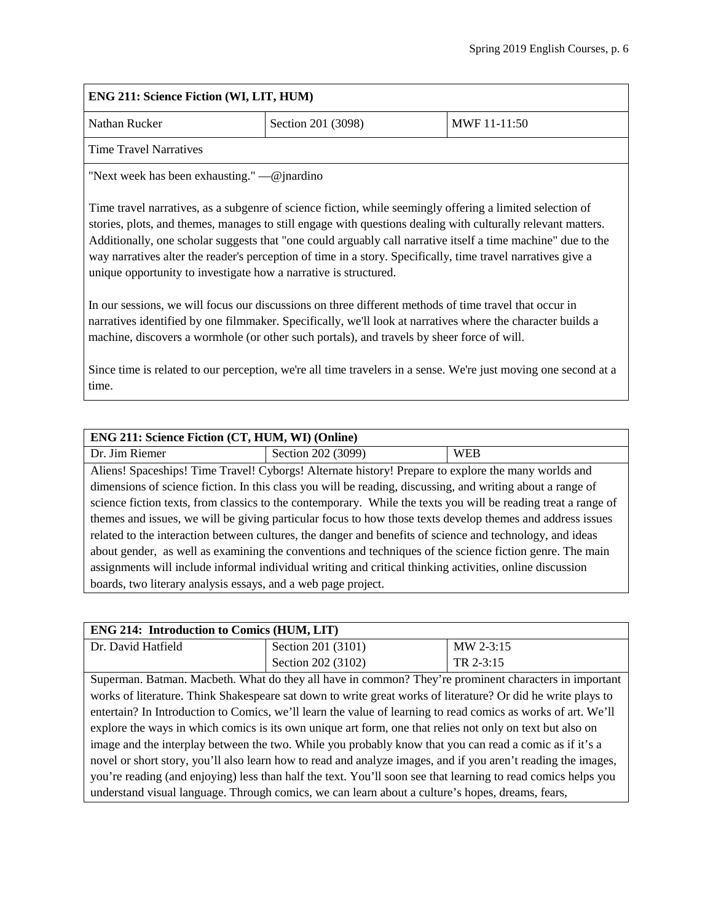# **ENG 211: Science Fiction (WI, LIT, HUM)** Nathan Rucker Section 201 (3098) MWF 11-11:50 Time Travel Narratives "Next week has been exhausting." —@jnardino Time travel narratives, as a subgenre of science fiction, while seemingly offering a limited selection of stories, plots, and themes, manages to still engage with questions dealing with culturally relevant matters. Additionally, one scholar suggests that "one could arguably call narrative itself a time machine" due to the way narratives alter the reader's perception of time in a story. Specifically, time travel narratives give a

In our sessions, we will focus our discussions on three different methods of time travel that occur in narratives identified by one filmmaker. Specifically, we'll look at narratives where the character builds a machine, discovers a wormhole (or other such portals), and travels by sheer force of will.

Since time is related to our perception, we're all time travelers in a sense. We're just moving one second at a time.

## **ENG 211: Science Fiction (CT, HUM, WI) (Online)**

unique opportunity to investigate how a narrative is structured.

Dr. Jim Riemer  $\vert$  Section 202 (3099) WEB Aliens! Spaceships! Time Travel! Cyborgs! Alternate history! Prepare to explore the many worlds and dimensions of science fiction. In this class you will be reading, discussing, and writing about a range of science fiction texts, from classics to the contemporary. While the texts you will be reading treat a range of themes and issues, we will be giving particular focus to how those texts develop themes and address issues related to the interaction between cultures, the danger and benefits of science and technology, and ideas about gender, as well as examining the conventions and techniques of the science fiction genre. The main assignments will include informal individual writing and critical thinking activities, online discussion boards, two literary analysis essays, and a web page project.

#### **ENG 214: Introduction to Comics (HUM, LIT)**  Dr. David Hatfield Section 201 (3101) Section 202 (3102) MW 2-3:15 TR 2-3:15 Superman. Batman. Macbeth. What do they all have in common? They're prominent characters in important works of literature. Think Shakespeare sat down to write great works of literature? Or did he write plays to entertain? In Introduction to Comics, we'll learn the value of learning to read comics as works of art. We'll explore the ways in which comics is its own unique art form, one that relies not only on text but also on image and the interplay between the two. While you probably know that you can read a comic as if it's a novel or short story, you'll also learn how to read and analyze images, and if you aren't reading the images, you're reading (and enjoying) less than half the text. You'll soon see that learning to read comics helps you understand visual language. Through comics, we can learn about a culture's hopes, dreams, fears,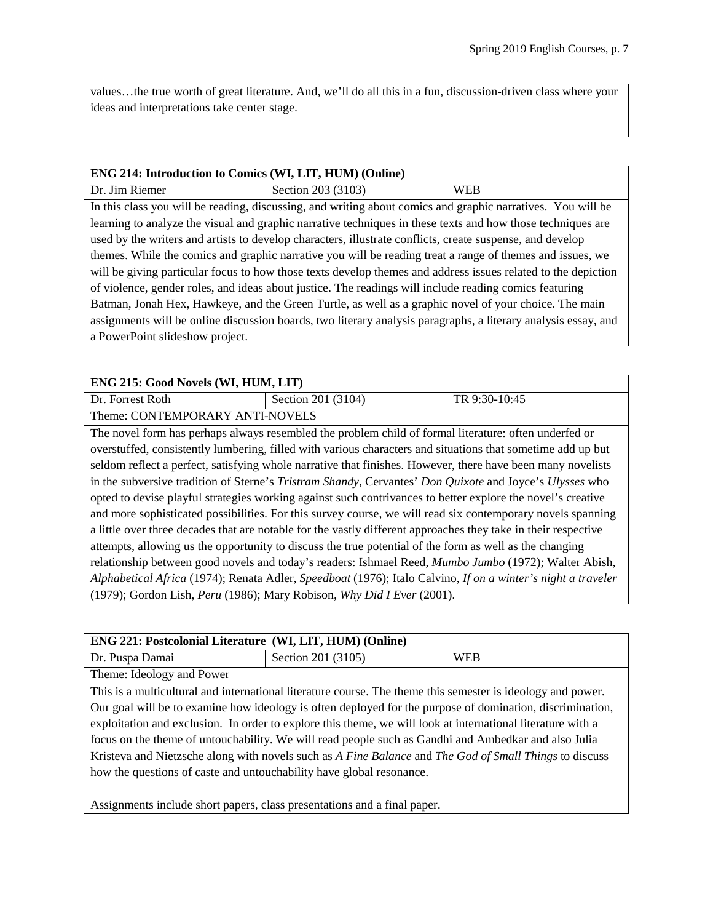values…the true worth of great literature. And, we'll do all this in a fun, discussion-driven class where your ideas and interpretations take center stage.

## **ENG 214: Introduction to Comics (WI, LIT, HUM) (Online)**

 $Dr. Jim Riemer$  Section 203 (3103) WEB In this class you will be reading, discussing, and writing about comics and graphic narratives. You will be learning to analyze the visual and graphic narrative techniques in these texts and how those techniques are used by the writers and artists to develop characters, illustrate conflicts, create suspense, and develop themes. While the comics and graphic narrative you will be reading treat a range of themes and issues, we will be giving particular focus to how those texts develop themes and address issues related to the depiction of violence, gender roles, and ideas about justice. The readings will include reading comics featuring Batman, Jonah Hex, Hawkeye, and the Green Turtle, as well as a graphic novel of your choice. The main assignments will be online discussion boards, two literary analysis paragraphs, a literary analysis essay, and a PowerPoint slideshow project.

#### **ENG 215: Good Novels (WI, HUM, LIT)**

Dr. Forrest Roth Section 201 (3104) TR 9:30-10:45

Theme: CONTEMPORARY ANTI-NOVELS

The novel form has perhaps always resembled the problem child of formal literature: often underfed or overstuffed, consistently lumbering, filled with various characters and situations that sometime add up but seldom reflect a perfect, satisfying whole narrative that finishes. However, there have been many novelists in the subversive tradition of Sterne's *Tristram Shandy*, Cervantes' *Don Quixote* and Joyce's *Ulysses* who opted to devise playful strategies working against such contrivances to better explore the novel's creative and more sophisticated possibilities. For this survey course, we will read six contemporary novels spanning a little over three decades that are notable for the vastly different approaches they take in their respective attempts, allowing us the opportunity to discuss the true potential of the form as well as the changing relationship between good novels and today's readers: Ishmael Reed, *Mumbo Jumbo* (1972); Walter Abish, *Alphabetical Africa* (1974); Renata Adler, *Speedboat* (1976); Italo Calvino, *If on a winter's night a traveler* (1979); Gordon Lish, *Peru* (1986); Mary Robison, *Why Did I Ever* (2001).

| <b>ENG 221: Postcolonial Literature (WI, LIT, HUM) (Online)</b>                                             |                    |            |
|-------------------------------------------------------------------------------------------------------------|--------------------|------------|
| Dr. Puspa Damai                                                                                             | Section 201 (3105) | <b>WEB</b> |
| Theme: Ideology and Power                                                                                   |                    |            |
| This is a multicultural and international literature course. The theme this semester is ideology and power. |                    |            |
| Our goal will be to examine how ideology is often deployed for the purpose of domination, discrimination,   |                    |            |
| exploitation and exclusion. In order to explore this theme, we will look at international literature with a |                    |            |
| focus on the theme of untouchability. We will read people such as Gandhi and Ambedkar and also Julia        |                    |            |
| Kristeva and Nietzsche along with novels such as A Fine Balance and The God of Small Things to discuss      |                    |            |
| how the questions of caste and untouchability have global resonance.                                        |                    |            |
|                                                                                                             |                    |            |

Assignments include short papers, class presentations and a final paper.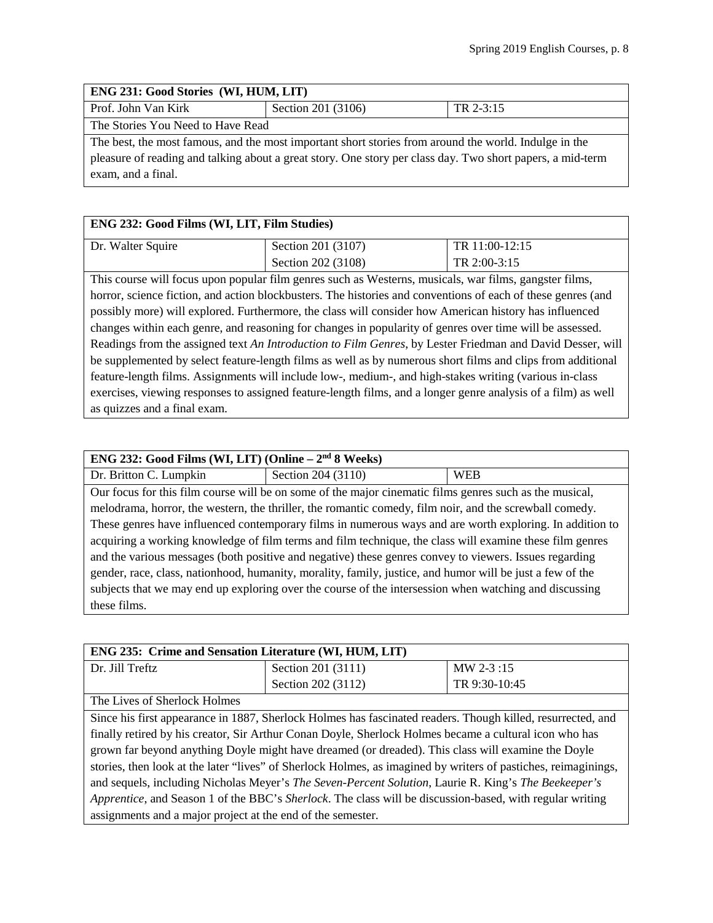## **ENG 231: Good Stories (WI, HUM, LIT)**

| Prof. John Van Kirk               | Section 201 (3106) | TR 2-3:15 |
|-----------------------------------|--------------------|-----------|
| The Stories You Need to Have Read |                    |           |

The best, the most famous, and the most important short stories from around the world. Indulge in the pleasure of reading and talking about a great story. One story per class day. Two short papers, a mid-term exam, and a final.

## **ENG 232: Good Films (WI, LIT, Film Studies)**

| Dr. Walter Squire | Section 201 (3107) | TR 11:00-12:15 |
|-------------------|--------------------|----------------|
|                   | Section 202 (3108) | TR 2:00-3:15   |

This course will focus upon popular film genres such as Westerns, musicals, war films, gangster films, horror, science fiction, and action blockbusters. The histories and conventions of each of these genres (and possibly more) will explored. Furthermore, the class will consider how American history has influenced changes within each genre, and reasoning for changes in popularity of genres over time will be assessed. Readings from the assigned text *An Introduction to Film Genres*, by Lester Friedman and David Desser, will be supplemented by select feature-length films as well as by numerous short films and clips from additional feature-length films. Assignments will include low-, medium-, and high-stakes writing (various in-class exercises, viewing responses to assigned feature-length films, and a longer genre analysis of a film) as well as quizzes and a final exam.

| ENG 232: Good Films (WI, LIT) (Online $-2nd 8$ Weeks)                                                     |                                                                                                         |            |
|-----------------------------------------------------------------------------------------------------------|---------------------------------------------------------------------------------------------------------|------------|
|                                                                                                           |                                                                                                         |            |
| Dr. Britton C. Lumpkin                                                                                    | Section 204 (3110)                                                                                      | <b>WEB</b> |
|                                                                                                           | Our focus for this film course will be on some of the major cinematic films genres such as the musical, |            |
| melodrama, horror, the western, the thriller, the romantic comedy, film noir, and the screwball comedy.   |                                                                                                         |            |
| These genres have influenced contemporary films in numerous ways and are worth exploring. In addition to  |                                                                                                         |            |
| acquiring a working knowledge of film terms and film technique, the class will examine these film genres  |                                                                                                         |            |
| and the various messages (both positive and negative) these genres convey to viewers. Issues regarding    |                                                                                                         |            |
| gender, race, class, nationhood, humanity, morality, family, justice, and humor will be just a few of the |                                                                                                         |            |
|                                                                                                           | subjects that we may end up exploring over the course of the intersession when watching and discussing  |            |
| these films.                                                                                              |                                                                                                         |            |

| <b>ENG 235: Crime and Sensation Literature (WI, HUM, LIT)</b>                                                                                                                        |                    |               |
|--------------------------------------------------------------------------------------------------------------------------------------------------------------------------------------|--------------------|---------------|
| l Dr. Jill Treftz                                                                                                                                                                    | Section 201 (3111) | MW 2-3:15     |
|                                                                                                                                                                                      | Section 202 (3112) | TR 9:30-10:45 |
| $\text{TH}_{\text{max}}$ <b>T</b> $\text{H}_{\text{max}}$ $\text{H}_{\text{max}}$ <b>C</b> $\text{H}_{\text{max}}$ <b>T</b> $\text{H}_{\text{max}}$ <b>T</b> $\text{H}_{\text{max}}$ |                    |               |

The Lives of Sherlock Holmes

Since his first appearance in 1887, Sherlock Holmes has fascinated readers. Though killed, resurrected, and finally retired by his creator, Sir Arthur Conan Doyle, Sherlock Holmes became a cultural icon who has grown far beyond anything Doyle might have dreamed (or dreaded). This class will examine the Doyle stories, then look at the later "lives" of Sherlock Holmes, as imagined by writers of pastiches, reimaginings, and sequels, including Nicholas Meyer's *The Seven-Percent Solution*, Laurie R. King's *The Beekeeper's Apprentice*, and Season 1 of the BBC's *Sherlock*. The class will be discussion-based, with regular writing assignments and a major project at the end of the semester.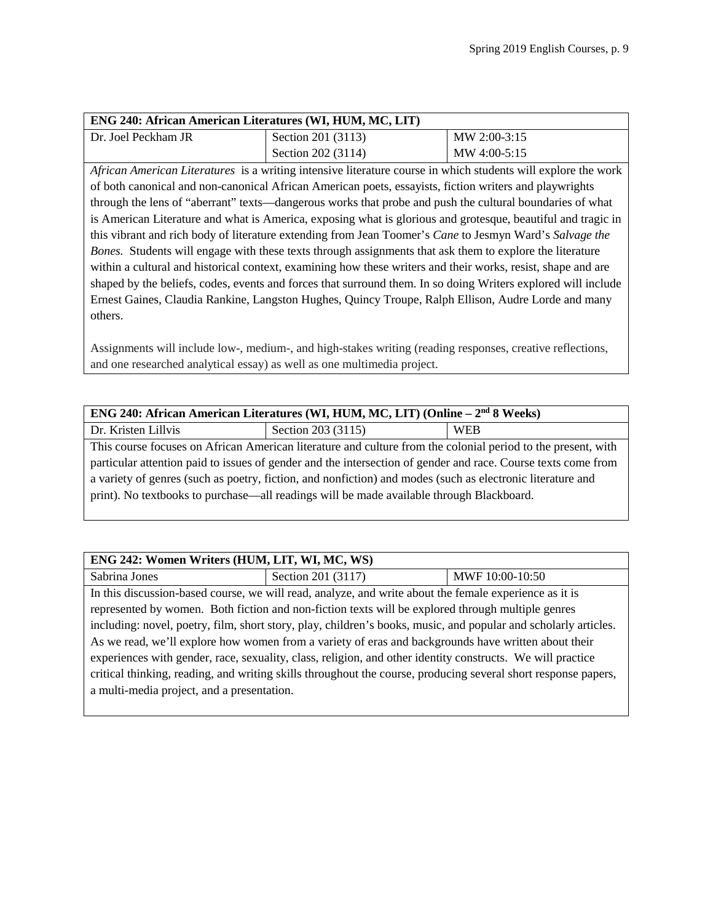| <b>ENG 240: African American Literatures (WI, HUM, MC, LIT)</b> |                    |              |
|-----------------------------------------------------------------|--------------------|--------------|
| l Dr. Joel Peckham JR                                           | Section 201 (3113) | MW 2:00-3:15 |
|                                                                 | Section 202 (3114) | MW 4:00-5:15 |

*African American Literatures* is a writing intensive literature course in which students will explore the work of both canonical and non-canonical African American poets, essayists, fiction writers and playwrights through the lens of "aberrant" texts—dangerous works that probe and push the cultural boundaries of what is American Literature and what is America, exposing what is glorious and grotesque, beautiful and tragic in this vibrant and rich body of literature extending from Jean Toomer's *Cane* to Jesmyn Ward's *Salvage the Bones.* Students will engage with these texts through assignments that ask them to explore the literature within a cultural and historical context, examining how these writers and their works, resist, shape and are shaped by the beliefs, codes, events and forces that surround them. In so doing Writers explored will include Ernest Gaines, Claudia Rankine, Langston Hughes, Quincy Troupe, Ralph Ellison, Audre Lorde and many others.

Assignments will include low-, medium-, and high-stakes writing (reading responses, creative reflections, and one researched analytical essay) as well as one multimedia project.

| ENG 240: African American Literatures (WI, HUM, MC, LIT) (Online – 2 <sup>nd</sup> 8 Weeks)                   |                    |            |
|---------------------------------------------------------------------------------------------------------------|--------------------|------------|
| Dr. Kristen Lillvis                                                                                           | Section 203 (3115) | <b>WEB</b> |
| This course focuses on African American literature and culture from the colonial period to the present, with  |                    |            |
| particular attention paid to issues of gender and the intersection of gender and race. Course texts come from |                    |            |
| a variety of genres (such as poetry, fiction, and nonfiction) and modes (such as electronic literature and    |                    |            |
| print). No textbooks to purchase—all readings will be made available through Blackboard.                      |                    |            |
|                                                                                                               |                    |            |

| ENG 242: Women Writers (HUM, LIT, WI, MC, WS)                                                                   |                                                                                                        |                 |
|-----------------------------------------------------------------------------------------------------------------|--------------------------------------------------------------------------------------------------------|-----------------|
| Sabrina Jones                                                                                                   | Section 201 (3117)                                                                                     | MWF 10:00-10:50 |
|                                                                                                                 | In this discussion-based course, we will read, analyze, and write about the female experience as it is |                 |
| represented by women. Both fiction and non-fiction texts will be explored through multiple genres               |                                                                                                        |                 |
| including: novel, poetry, film, short story, play, children's books, music, and popular and scholarly articles. |                                                                                                        |                 |
| As we read, we'll explore how women from a variety of eras and backgrounds have written about their             |                                                                                                        |                 |
| experiences with gender, race, sexuality, class, religion, and other identity constructs. We will practice      |                                                                                                        |                 |
| critical thinking, reading, and writing skills throughout the course, producing several short response papers,  |                                                                                                        |                 |
| a multi-media project, and a presentation.                                                                      |                                                                                                        |                 |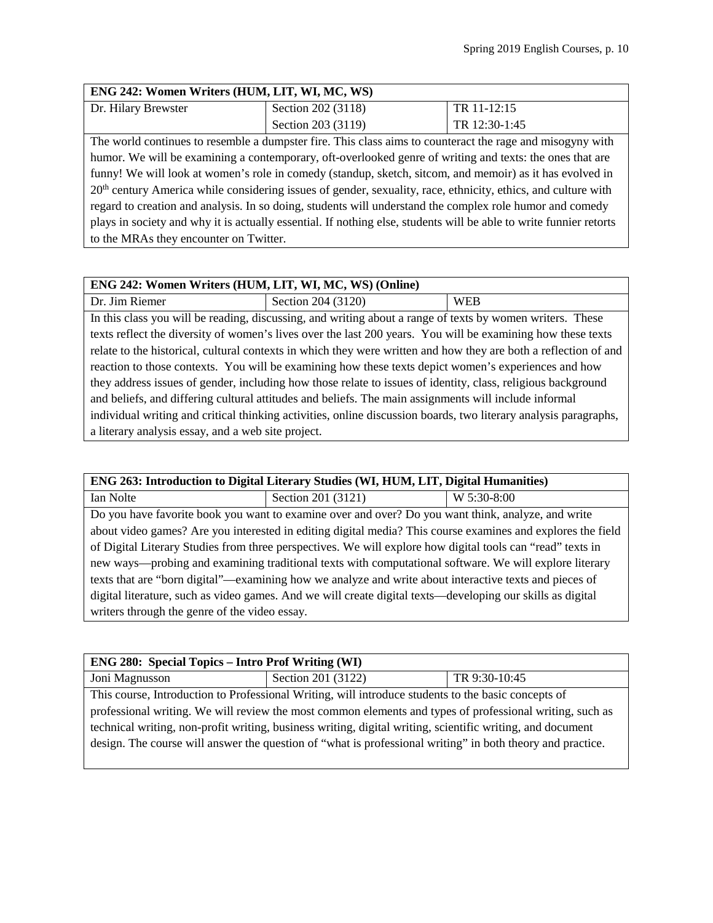## **ENG 242: Women Writers (HUM, LIT, WI, MC, WS)**

| Dr. Hilary Brewster                                                                                                       | Section 202 (3118) | TR 11-12:15   |
|---------------------------------------------------------------------------------------------------------------------------|--------------------|---------------|
|                                                                                                                           | Section 203 (3119) | TR 12:30-1:45 |
| The world continues to resemble a dumpster fire. This class aims to counteract the rage and misogyny with                 |                    |               |
| humor. We will be examining a contemporary, oft-overlooked genre of writing and texts: the ones that are                  |                    |               |
| funny! We will look at women's role in comedy (standup, sketch, sitcom, and memoir) as it has evolved in                  |                    |               |
| 20 <sup>th</sup> century America while considering issues of gender, sexuality, race, ethnicity, ethics, and culture with |                    |               |

regard to creation and analysis. In so doing, students will understand the complex role humor and comedy plays in society and why it is actually essential. If nothing else, students will be able to write funnier retorts to the MRAs they encounter on Twitter.

#### **ENG 242: Women Writers (HUM, LIT, WI, MC, WS) (Online)**

| Dr. Jim Riemer                                                                                                   | Section 204 (3120)                                                                                               | <b>WEB</b> |
|------------------------------------------------------------------------------------------------------------------|------------------------------------------------------------------------------------------------------------------|------------|
| In this class you will be reading, discussing, and writing about a range of texts by women writers. These        |                                                                                                                  |            |
| texts reflect the diversity of women's lives over the last 200 years. You will be examining how these texts      |                                                                                                                  |            |
| relate to the historical, cultural contexts in which they were written and how they are both a reflection of and |                                                                                                                  |            |
| reaction to those contexts. You will be examining how these texts depict women's experiences and how             |                                                                                                                  |            |
| they address issues of gender, including how those relate to issues of identity, class, religious background     |                                                                                                                  |            |
|                                                                                                                  | and beliefs, and differing cultural attitudes and beliefs. The main assignments will include informal            |            |
|                                                                                                                  | individual writing and critical thinking activities, online discussion boards, two literary analysis paragraphs, |            |
| a literary analysis essay, and a web site project.                                                               |                                                                                                                  |            |

## **ENG 263: Introduction to Digital Literary Studies (WI, HUM, LIT, Digital Humanities)**

Ian Nolte Section 201 (3121) W 5:30-8:00 Do you have favorite book you want to examine over and over? Do you want think, analyze, and write about video games? Are you interested in editing digital media? This course examines and explores the field of Digital Literary Studies from three perspectives. We will explore how digital tools can "read" texts in new ways—probing and examining traditional texts with computational software. We will explore literary texts that are "born digital"—examining how we analyze and write about interactive texts and pieces of digital literature, such as video games. And we will create digital texts—developing our skills as digital writers through the genre of the video essay.

| <b>ENG 280: Special Topics – Intro Prof Writing (WI)</b>     |                    |               |
|--------------------------------------------------------------|--------------------|---------------|
| Joni Magnusson                                               | Section 201 (3122) | TR 9:30-10:45 |
| .<br>$\sim$ $\sim$ $\sim$ $\sim$ $\sim$ $\sim$ $\sim$ $\sim$ | $\cdots$           |               |

This course, Introduction to Professional Writing, will introduce students to the basic concepts of professional writing. We will review the most common elements and types of professional writing, such as technical writing, non-profit writing, business writing, digital writing, scientific writing, and document design. The course will answer the question of "what is professional writing" in both theory and practice.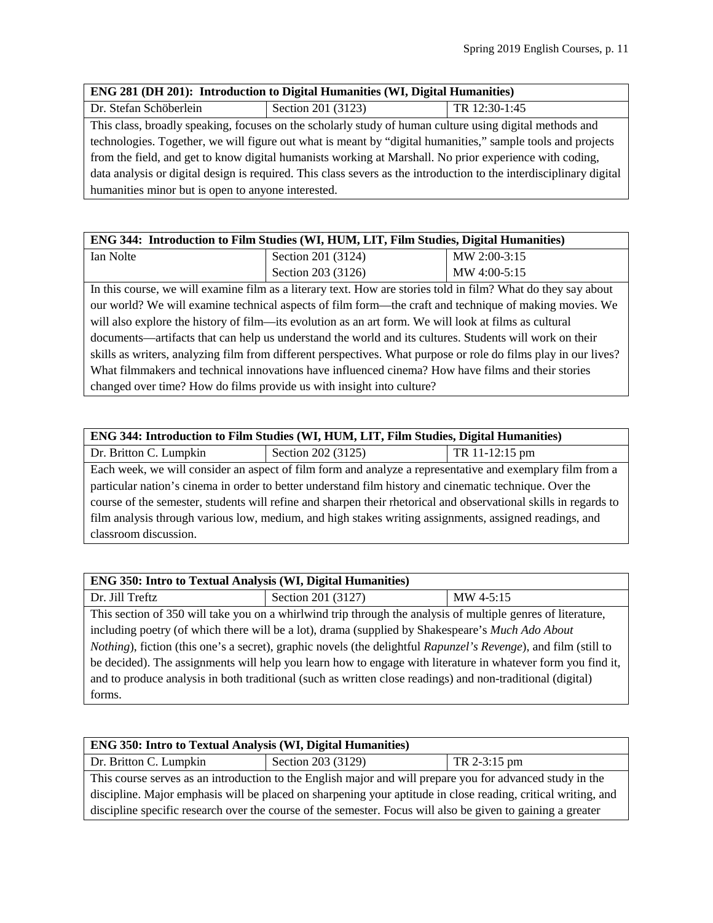| <b>ENG 281 (DH 201): Introduction to Digital Humanities (WI, Digital Humanities)</b>                                |                    |               |  |
|---------------------------------------------------------------------------------------------------------------------|--------------------|---------------|--|
| Dr. Stefan Schöberlein                                                                                              | Section 201 (3123) | TR 12:30-1:45 |  |
| This class, broadly speaking, focuses on the scholarly study of human culture using digital methods and             |                    |               |  |
| technologies. Together, we will figure out what is meant by "digital humanities," sample tools and projects         |                    |               |  |
| from the field, and get to know digital humanists working at Marshall. No prior experience with coding,             |                    |               |  |
| data analysis or digital design is required. This class severs as the introduction to the interdisciplinary digital |                    |               |  |
| humanities minor but is open to anyone interested.                                                                  |                    |               |  |

| ENG 344: Introduction to Film Studies (WI, HUM, LIT, Film Studies, Digital Humanities)                        |                    |              |
|---------------------------------------------------------------------------------------------------------------|--------------------|--------------|
| Ian Nolte                                                                                                     | Section 201 (3124) | MW 2:00-3:15 |
|                                                                                                               | Section 203 (3126) | MW 4:00-5:15 |
| In this course, we will examine film as a literary text. How are stories told in film? What do they say about |                    |              |
| our world? We will examine technical aspects of film form—the craft and technique of making movies. We        |                    |              |
| will also explore the history of film—its evolution as an art form. We will look at films as cultural         |                    |              |

documents—artifacts that can help us understand the world and its cultures. Students will work on their skills as writers, analyzing film from different perspectives. What purpose or role do films play in our lives? What filmmakers and technical innovations have influenced cinema? How have films and their stories changed over time? How do films provide us with insight into culture?

## **ENG 344: Introduction to Film Studies (WI, HUM, LIT, Film Studies, Digital Humanities)**

| Dr. Britton C. Lumpkin                                                                                           | Section 202 (3125)                                                                                        | TR 11-12:15 pm |
|------------------------------------------------------------------------------------------------------------------|-----------------------------------------------------------------------------------------------------------|----------------|
|                                                                                                                  | Each week, we will consider an aspect of film form and analyze a representative and exemplary film from a |                |
| particular nation's cinema in order to better understand film history and cinematic technique. Over the          |                                                                                                           |                |
| course of the semester, students will refine and sharpen their rhetorical and observational skills in regards to |                                                                                                           |                |
| film analysis through various low, medium, and high stakes writing assignments, assigned readings, and           |                                                                                                           |                |
| classroom discussion.                                                                                            |                                                                                                           |                |

| <b>ENG 350: Intro to Textual Analysis (WI, Digital Humanities)</b>                                                              |                                                                                                              |           |  |
|---------------------------------------------------------------------------------------------------------------------------------|--------------------------------------------------------------------------------------------------------------|-----------|--|
| Dr. Jill Treftz                                                                                                                 | Section 201 (3127)                                                                                           | MW 4-5:15 |  |
|                                                                                                                                 | This section of 350 will take you on a whirlwind trip through the analysis of multiple genres of literature, |           |  |
| including poetry (of which there will be a lot), drama (supplied by Shakespeare's Much Ado About                                |                                                                                                              |           |  |
| <i>Nothing</i> ), fiction (this one's a secret), graphic novels (the delightful <i>Rapunzel's Revenge</i> ), and film (still to |                                                                                                              |           |  |
| be decided). The assignments will help you learn how to engage with literature in whatever form you find it,                    |                                                                                                              |           |  |
| and to produce analysis in both traditional (such as written close readings) and non-traditional (digital)                      |                                                                                                              |           |  |
| forms.                                                                                                                          |                                                                                                              |           |  |

| <b>ENG 350: Intro to Textual Analysis (WI, Digital Humanities)</b>                                            |                                    |  |
|---------------------------------------------------------------------------------------------------------------|------------------------------------|--|
| Dr. Britton C. Lumpkin                                                                                        | Section 203 (3129)<br>TR 2-3:15 pm |  |
| This course serves as an introduction to the English major and will prepare you for advanced study in the     |                                    |  |
| discipline. Major emphasis will be placed on sharpening your aptitude in close reading, critical writing, and |                                    |  |
| discipline specific research over the course of the semester. Focus will also be given to gaining a greater   |                                    |  |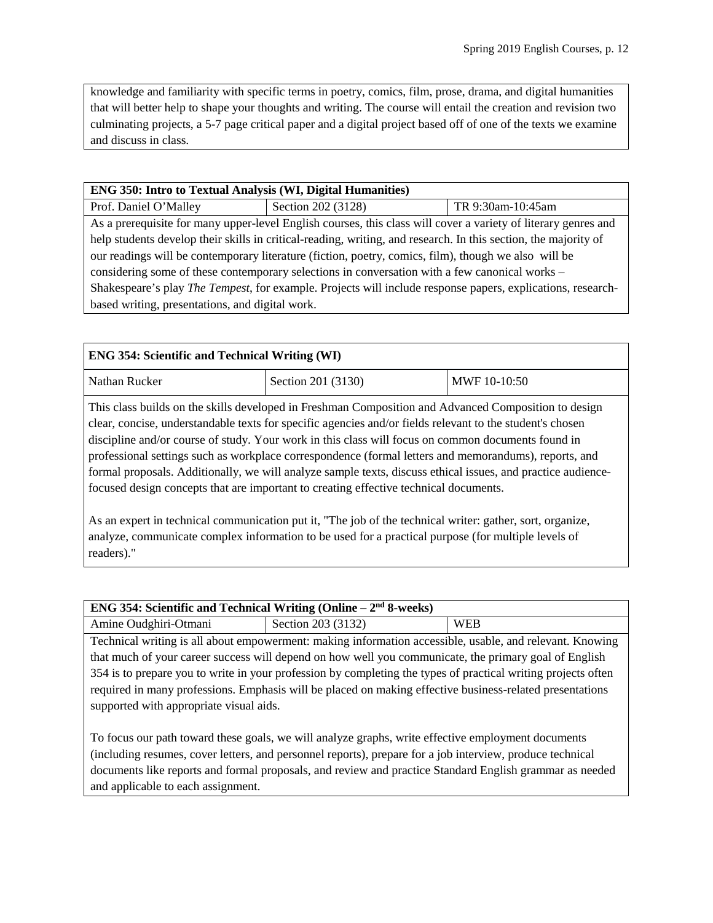knowledge and familiarity with specific terms in poetry, comics, film, prose, drama, and digital humanities that will better help to shape your thoughts and writing. The course will entail the creation and revision two culminating projects, a 5-7 page critical paper and a digital project based off of one of the texts we examine and discuss in class.

## **ENG 350: Intro to Textual Analysis (WI, Digital Humanities)**

Prof. Daniel O'Malley Section 202 (3128) TR 9:30am-10:45am As a prerequisite for many upper-level English courses, this class will cover a variety of literary genres and help students develop their skills in critical-reading, writing, and research. In this section, the majority of our readings will be contemporary literature (fiction, poetry, comics, film), though we also will be considering some of these contemporary selections in conversation with a few canonical works – Shakespeare's play *The Tempest*, for example. Projects will include response papers, explications, researchbased writing, presentations, and digital work.

| <b>ENG 354: Scientific and Technical Writing (WI)</b> |                                                                                                                                                                                                                                                                                                                                                                                                                                  |  |  |
|-------------------------------------------------------|----------------------------------------------------------------------------------------------------------------------------------------------------------------------------------------------------------------------------------------------------------------------------------------------------------------------------------------------------------------------------------------------------------------------------------|--|--|
| Nathan Rucker<br>Section 201 (3130)<br>MWF 10-10:50   |                                                                                                                                                                                                                                                                                                                                                                                                                                  |  |  |
|                                                       | This class builds on the skills developed in Freshman Composition and Advanced Composition to design<br>clear, concise, understandable texts for specific agencies and/or fields relevant to the student's chosen<br>discipline and/or course of study. Your work in this class will focus on common documents found in<br>professional settings such as workplace correspondence (formal letters and memorandums), reports, and |  |  |

formal proposals. Additionally, we will analyze sample texts, discuss ethical issues, and practice audiencefocused design concepts that are important to creating effective technical documents.

As an expert in technical communication put it, "The job of the technical writer: gather, sort, organize, analyze, communicate complex information to be used for a practical purpose (for multiple levels of readers)."

| <b>ENG 354: Scientific and Technical Writing (Online – <math>2nd</math> 8-weeks)</b>                          |                    |            |  |
|---------------------------------------------------------------------------------------------------------------|--------------------|------------|--|
| Amine Oudghiri-Otmani                                                                                         | Section 203 (3132) | <b>WEB</b> |  |
| Technical writing is all about empowerment: making information accessible, usable, and relevant. Knowing      |                    |            |  |
| that much of your career success will depend on how well you communicate, the primary goal of English         |                    |            |  |
| 354 is to prepare you to write in your profession by completing the types of practical writing projects often |                    |            |  |
| required in many professions. Emphasis will be placed on making effective business-related presentations      |                    |            |  |
| supported with appropriate visual aids.                                                                       |                    |            |  |

To focus our path toward these goals, we will analyze graphs, write effective employment documents (including resumes, cover letters, and personnel reports), prepare for a job interview, produce technical documents like reports and formal proposals, and review and practice Standard English grammar as needed and applicable to each assignment.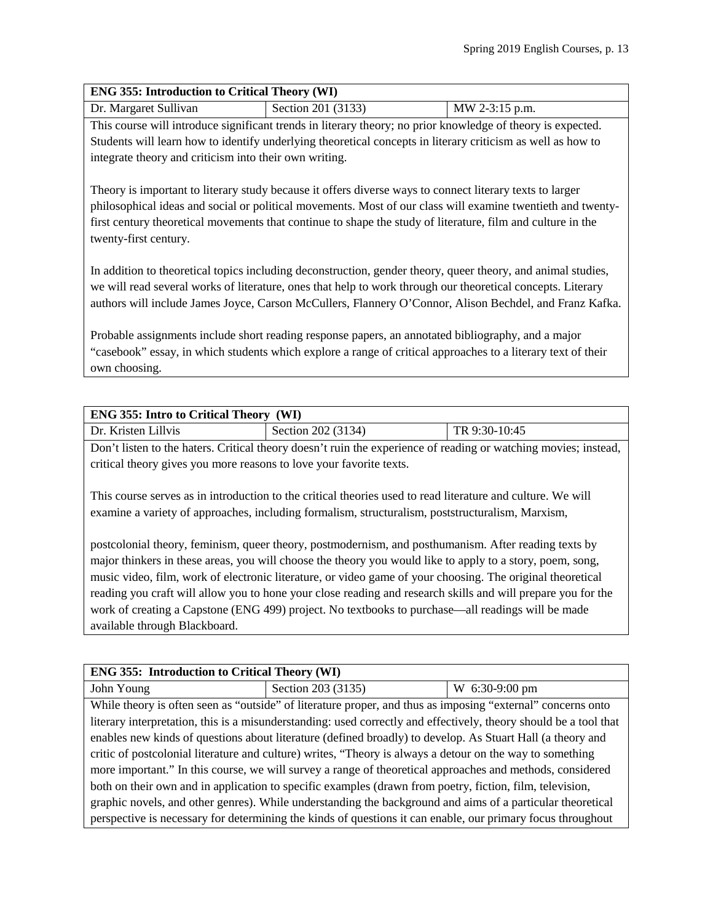## **ENG 355: Introduction to Critical Theory (WI)**

| Dr. Margaret Sullivan | Section 201 (3133) | MW 2-3:15 p.m. |
|-----------------------|--------------------|----------------|
|                       |                    |                |

This course will introduce significant trends in literary theory; no prior knowledge of theory is expected. Students will learn how to identify underlying theoretical concepts in literary criticism as well as how to integrate theory and criticism into their own writing.

Theory is important to literary study because it offers diverse ways to connect literary texts to larger philosophical ideas and social or political movements. Most of our class will examine twentieth and twentyfirst century theoretical movements that continue to shape the study of literature, film and culture in the twenty-first century.

In addition to theoretical topics including deconstruction, gender theory, queer theory, and animal studies, we will read several works of literature, ones that help to work through our theoretical concepts. Literary authors will include James Joyce, Carson McCullers, Flannery O'Connor, Alison Bechdel, and Franz Kafka.

Probable assignments include short reading response papers, an annotated bibliography, and a major "casebook" essay, in which students which explore a range of critical approaches to a literary text of their own choosing.

| <b>ENG 355: Intro to Critical Theory (WI)</b>                                                                   |                    |               |  |
|-----------------------------------------------------------------------------------------------------------------|--------------------|---------------|--|
| Dr. Kristen Lillvis                                                                                             | Section 202 (3134) | TR 9:30-10:45 |  |
| Don't listen to the haters. Critical theory doesn't ruin the experience of reading or watching movies; instead, |                    |               |  |

critical theory gives you more reasons to love your favorite texts.

This course serves as in introduction to the critical theories used to read literature and culture. We will examine a variety of approaches, including formalism, structuralism, poststructuralism, Marxism,

postcolonial theory, feminism, queer theory, postmodernism, and posthumanism. After reading texts by major thinkers in these areas, you will choose the theory you would like to apply to a story, poem, song, music video, film, work of electronic literature, or video game of your choosing. The original theoretical reading you craft will allow you to hone your close reading and research skills and will prepare you for the work of creating a Capstone (ENG 499) project. No textbooks to purchase—all readings will be made available through Blackboard.

## **ENG 355: Introduction to Critical Theory (WI)**

John Young Section 203 (3135) W 6:30-9:00 pm

While theory is often seen as "outside" of literature proper, and thus as imposing "external" concerns onto literary interpretation, this is a misunderstanding: used correctly and effectively, theory should be a tool that enables new kinds of questions about literature (defined broadly) to develop. As Stuart Hall (a theory and critic of postcolonial literature and culture) writes, "Theory is always a detour on the way to something more important." In this course, we will survey a range of theoretical approaches and methods, considered both on their own and in application to specific examples (drawn from poetry, fiction, film, television, graphic novels, and other genres). While understanding the background and aims of a particular theoretical perspective is necessary for determining the kinds of questions it can enable, our primary focus throughout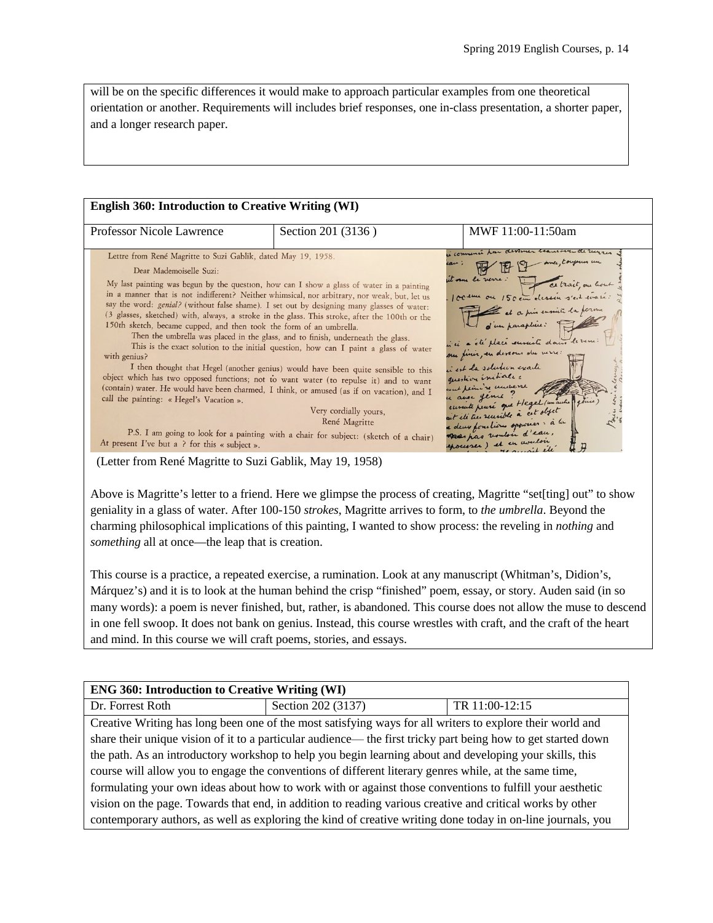will be on the specific differences it would make to approach particular examples from one theoretical orientation or another. Requirements will includes brief responses, one in-class presentation, a shorter paper, and a longer research paper.

| <b>Professor Nicole Lawrence</b>                                                                                                                                                                                                                                                                                                                                                                                                                                                                                                                                                                                                                                                                                                                                                                                                                                                                                                                    | Section 201 (3136)                                                                                                                                                                                                                                                                                          | MWF 11:00-11:50am                                                                                                                                                                                                                                                                                                                                                                                                                             |
|-----------------------------------------------------------------------------------------------------------------------------------------------------------------------------------------------------------------------------------------------------------------------------------------------------------------------------------------------------------------------------------------------------------------------------------------------------------------------------------------------------------------------------------------------------------------------------------------------------------------------------------------------------------------------------------------------------------------------------------------------------------------------------------------------------------------------------------------------------------------------------------------------------------------------------------------------------|-------------------------------------------------------------------------------------------------------------------------------------------------------------------------------------------------------------------------------------------------------------------------------------------------------------|-----------------------------------------------------------------------------------------------------------------------------------------------------------------------------------------------------------------------------------------------------------------------------------------------------------------------------------------------------------------------------------------------------------------------------------------------|
| Lettre from René Magritte to Suzi Gablik, dated May 19, 1958.<br>Dear Mademoiselle Suzi:<br>My last painting was begun by the question, how can I show a glass of water in a painting<br>in a manner that is not indifferent? Neither whimsical, nor arbitrary, nor weak, but, let us<br>say the word: genial? (without false shame). I set out by designing many glasses of water:<br>(3 glasses, sketched) with, always, a stroke in the glass. This stroke, after the 100th or the<br>150th sketch, became cupped, and then took the form of an umbrella.<br>Then the umbrella was placed in the glass, and to finish, underneath the glass.<br>with genius?<br>object which has two opposed functions; not to want water (to repulse it) and to want<br>(contain) water. He would have been charmed, I think, or amused (as if on vacation), and I<br>call the painting: « Hegel's Vacation ».<br>At present I've but a ? for this « subject ». | This is the exact solution to the initial question, how can I paint a glass of water<br>I then thought that Hegel (another genius) would have been quite sensible to this<br>Very cordially yours,<br>René Magritte<br>P.S. I am going to look for a painting with a chair for subject: (sketch of a chair) | u connenci har devomer<br>it sur le rene :<br>100 en ce 150 en dessin s'est evait :<br>100 en ce 150 en dessin s'est evait :<br>10 d'un parapture :<br>10 d'un parapture :<br>our finir, en dessous du merc:<br>in est la solution exacte<br>question initiale:<br>wat plain re underse<br>u avec genue !<br>eurnite peure que Hegel (unaute fêtre)<br>a deux positions opposeer : à la<br>Deer pas vouloir d'eau,<br>exousser) et en vouloir |

(Letter from René Magritte to Suzi Gablik, May 19, 1958)

Above is Magritte's letter to a friend. Here we glimpse the process of creating, Magritte "set[ting] out" to show geniality in a glass of water. After 100-150 *strokes*, Magritte arrives to form, to *the umbrella*. Beyond the charming philosophical implications of this painting, I wanted to show process: the reveling in *nothing* and *something* all at once—the leap that is creation.

This course is a practice, a repeated exercise, a rumination. Look at any manuscript (Whitman's, Didion's, Márquez's) and it is to look at the human behind the crisp "finished" poem, essay, or story. Auden said (in so many words): a poem is never finished, but, rather, is abandoned. This course does not allow the muse to descend in one fell swoop. It does not bank on genius. Instead, this course wrestles with craft, and the craft of the heart and mind. In this course we will craft poems, stories, and essays.

| <b>ENG 360: Introduction to Creative Writing (WI)</b>                                                       |                                                                                                               |                |
|-------------------------------------------------------------------------------------------------------------|---------------------------------------------------------------------------------------------------------------|----------------|
| Dr. Forrest Roth                                                                                            | Section 202 (3137)                                                                                            | TR 11:00-12:15 |
|                                                                                                             | Creative Writing has long been one of the most satisfying ways for all writers to explore their world and     |                |
|                                                                                                             | share their unique vision of it to a particular audience— the first tricky part being how to get started down |                |
| the path. As an introductory workshop to help you begin learning about and developing your skills, this     |                                                                                                               |                |
| course will allow you to engage the conventions of different literary genres while, at the same time,       |                                                                                                               |                |
| formulating your own ideas about how to work with or against those conventions to fulfill your aesthetic    |                                                                                                               |                |
| vision on the page. Towards that end, in addition to reading various creative and critical works by other   |                                                                                                               |                |
| contemporary authors, as well as exploring the kind of creative writing done today in on-line journals, you |                                                                                                               |                |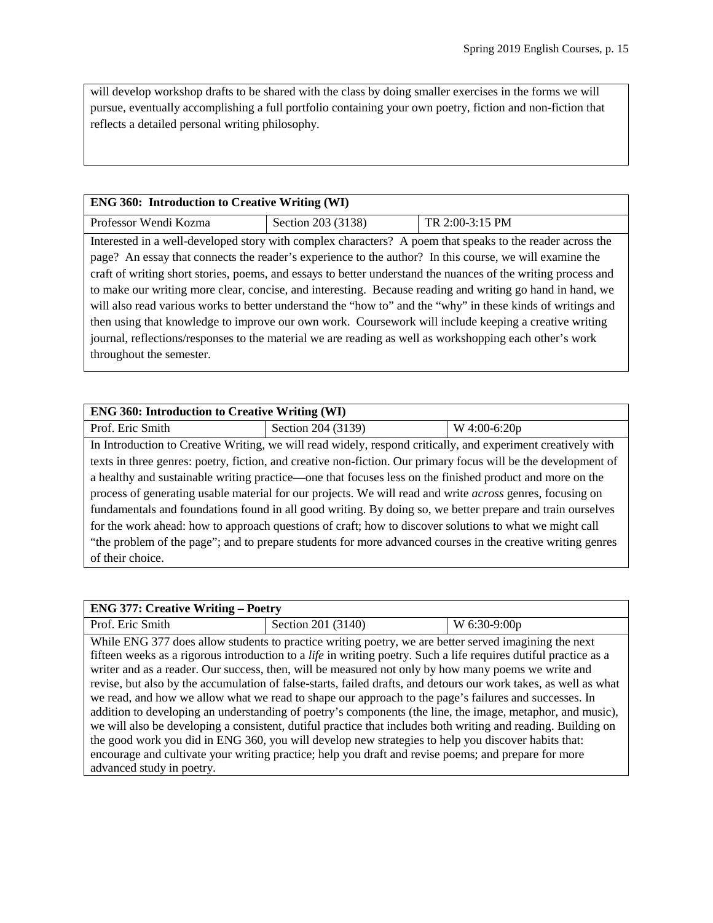will develop workshop drafts to be shared with the class by doing smaller exercises in the forms we will pursue, eventually accomplishing a full portfolio containing your own poetry, fiction and non-fiction that reflects a detailed personal writing philosophy.

## **ENG 360: Introduction to Creative Writing (WI)**

| Professor Wendi Kozma | Section 203 $(3138)$ | $TR 2:00-3:15 PM$ |
|-----------------------|----------------------|-------------------|

Interested in a well-developed story with complex characters? A poem that speaks to the reader across the page? An essay that connects the reader's experience to the author? In this course, we will examine the craft of writing short stories, poems, and essays to better understand the nuances of the writing process and to make our writing more clear, concise, and interesting. Because reading and writing go hand in hand, we will also read various works to better understand the "how to" and the "why" in these kinds of writings and then using that knowledge to improve our own work. Coursework will include keeping a creative writing journal, reflections/responses to the material we are reading as well as workshopping each other's work throughout the semester.

| <b>ENG 360: Introduction to Creative Writing (WI)</b>                                                            |                                                                                                                |              |  |
|------------------------------------------------------------------------------------------------------------------|----------------------------------------------------------------------------------------------------------------|--------------|--|
| Prof. Eric Smith                                                                                                 | Section 204 (3139)                                                                                             | W 4:00-6:20p |  |
|                                                                                                                  | In Introduction to Creative Writing, we will read widely, respond critically, and experiment creatively with   |              |  |
|                                                                                                                  | texts in three genres: poetry, fiction, and creative non-fiction. Our primary focus will be the development of |              |  |
| a healthy and sustainable writing practice—one that focuses less on the finished product and more on the         |                                                                                                                |              |  |
| process of generating usable material for our projects. We will read and write <i>across</i> genres, focusing on |                                                                                                                |              |  |
| fundamentals and foundations found in all good writing. By doing so, we better prepare and train ourselves       |                                                                                                                |              |  |
| for the work ahead: how to approach questions of craft; how to discover solutions to what we might call          |                                                                                                                |              |  |
| "the problem of the page"; and to prepare students for more advanced courses in the creative writing genres      |                                                                                                                |              |  |
| of their choice.                                                                                                 |                                                                                                                |              |  |

| <b>ENG 377: Creative Writing – Poetry</b> |                                                                                                                                                                                                                                                                                                                                                                                                                                                                                                                                                                                                                                                                                                                                                                                                                                                                                                                                                                                                                    |                |
|-------------------------------------------|--------------------------------------------------------------------------------------------------------------------------------------------------------------------------------------------------------------------------------------------------------------------------------------------------------------------------------------------------------------------------------------------------------------------------------------------------------------------------------------------------------------------------------------------------------------------------------------------------------------------------------------------------------------------------------------------------------------------------------------------------------------------------------------------------------------------------------------------------------------------------------------------------------------------------------------------------------------------------------------------------------------------|----------------|
| Prof. Eric Smith                          | Section 201 (3140)                                                                                                                                                                                                                                                                                                                                                                                                                                                                                                                                                                                                                                                                                                                                                                                                                                                                                                                                                                                                 | $W$ 6:30-9:00p |
|                                           | While ENG 377 does allow students to practice writing poetry, we are better served imagining the next<br>fifteen weeks as a rigorous introduction to a <i>life</i> in writing poetry. Such a life requires dutiful practice as a<br>writer and as a reader. Our success, then, will be measured not only by how many poems we write and<br>revise, but also by the accumulation of false-starts, failed drafts, and detours our work takes, as well as what<br>we read, and how we allow what we read to shape our approach to the page's failures and successes. In<br>addition to developing an understanding of poetry's components (the line, the image, metaphor, and music),<br>we will also be developing a consistent, dutiful practice that includes both writing and reading. Building on<br>the good work you did in ENG 360, you will develop new strategies to help you discover habits that:<br>encourage and cultivate your writing practice; help you draft and revise poems; and prepare for more |                |
| advanced study in poetry.                 |                                                                                                                                                                                                                                                                                                                                                                                                                                                                                                                                                                                                                                                                                                                                                                                                                                                                                                                                                                                                                    |                |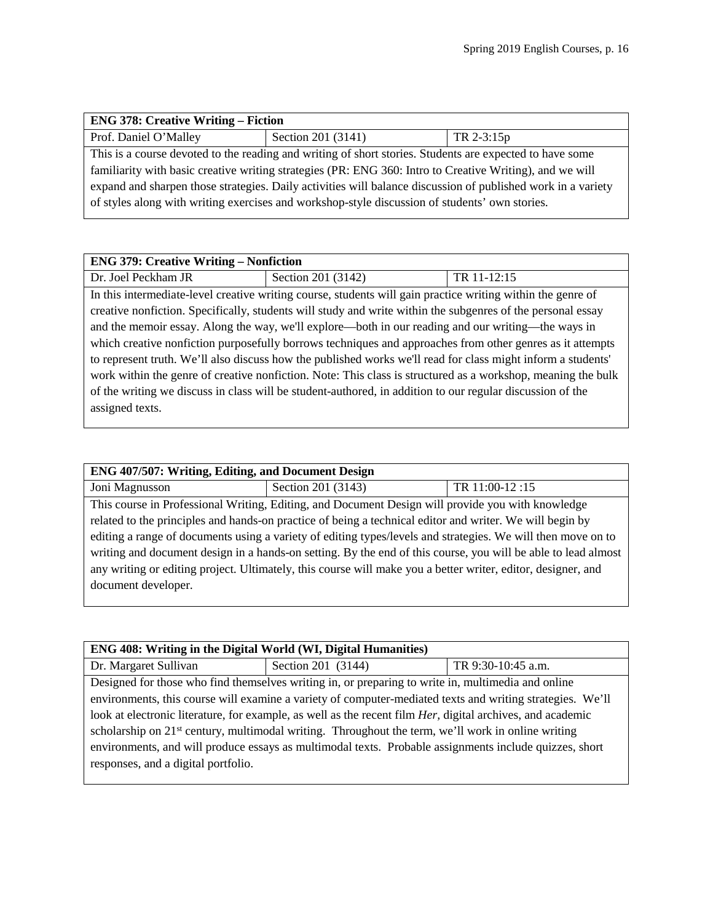| <b>ENG 378: Creative Writing – Fiction</b>                                                                   |                    |              |  |
|--------------------------------------------------------------------------------------------------------------|--------------------|--------------|--|
| Prof. Daniel O'Malley                                                                                        | Section 201 (3141) | $TR 2-3:15p$ |  |
| This is a course devoted to the reading and writing of short stories. Students are expected to have some     |                    |              |  |
| familiarity with basic creative writing strategies (PR: ENG 360: Intro to Creative Writing), and we will     |                    |              |  |
| expand and sharpen those strategies. Daily activities will balance discussion of published work in a variety |                    |              |  |
| of styles along with writing exercises and workshop-style discussion of students' own stories.               |                    |              |  |
|                                                                                                              |                    |              |  |

| <b>ENG 379: Creative Writing – Nonfiction</b>                                                                |                                                                                                              |             |
|--------------------------------------------------------------------------------------------------------------|--------------------------------------------------------------------------------------------------------------|-------------|
| Dr. Joel Peckham JR                                                                                          | Section 201 (3142)                                                                                           | TR 11-12:15 |
|                                                                                                              | In this intermediate-level creative writing course, students will gain practice writing within the genre of  |             |
|                                                                                                              | creative nonfiction. Specifically, students will study and write within the subgenres of the personal essay  |             |
|                                                                                                              | and the memoir essay. Along the way, we'll explore—both in our reading and our writing—the ways in           |             |
| which creative nonfiction purposefully borrows techniques and approaches from other genres as it attempts    |                                                                                                              |             |
|                                                                                                              | to represent truth. We'll also discuss how the published works we'll read for class might inform a students' |             |
| work within the genre of creative nonfiction. Note: This class is structured as a workshop, meaning the bulk |                                                                                                              |             |
| of the writing we discuss in class will be student-authored, in addition to our regular discussion of the    |                                                                                                              |             |
| assigned texts.                                                                                              |                                                                                                              |             |
|                                                                                                              |                                                                                                              |             |

| ENG 407/507: Writing, Editing, and Document Design                                                            |                                                                                                          |                |  |
|---------------------------------------------------------------------------------------------------------------|----------------------------------------------------------------------------------------------------------|----------------|--|
| Joni Magnusson                                                                                                | Section 201 (3143)                                                                                       | TR 11:00-12:15 |  |
|                                                                                                               | This course in Professional Writing, Editing, and Document Design will provide you with knowledge        |                |  |
|                                                                                                               | related to the principles and hands-on practice of being a technical editor and writer. We will begin by |                |  |
| editing a range of documents using a variety of editing types/levels and strategies. We will then move on to  |                                                                                                          |                |  |
| writing and document design in a hands-on setting. By the end of this course, you will be able to lead almost |                                                                                                          |                |  |
| any writing or editing project. Ultimately, this course will make you a better writer, editor, designer, and  |                                                                                                          |                |  |
| document developer.                                                                                           |                                                                                                          |                |  |
|                                                                                                               |                                                                                                          |                |  |

| <b>ENG 408: Writing in the Digital World (WI, Digital Humanities)</b>                                              |                                                                                                           |                    |  |
|--------------------------------------------------------------------------------------------------------------------|-----------------------------------------------------------------------------------------------------------|--------------------|--|
| Dr. Margaret Sullivan                                                                                              | Section 201 (3144)                                                                                        | TR 9:30-10:45 a.m. |  |
|                                                                                                                    | Designed for those who find themselves writing in, or preparing to write in, multimedia and online        |                    |  |
|                                                                                                                    | environments, this course will examine a variety of computer-mediated texts and writing strategies. We'll |                    |  |
| look at electronic literature, for example, as well as the recent film <i>Her</i> , digital archives, and academic |                                                                                                           |                    |  |
| scholarship on 21 <sup>st</sup> century, multimodal writing. Throughout the term, we'll work in online writing     |                                                                                                           |                    |  |
| environments, and will produce essays as multimodal texts. Probable assignments include quizzes, short             |                                                                                                           |                    |  |
| responses, and a digital portfolio.                                                                                |                                                                                                           |                    |  |
|                                                                                                                    |                                                                                                           |                    |  |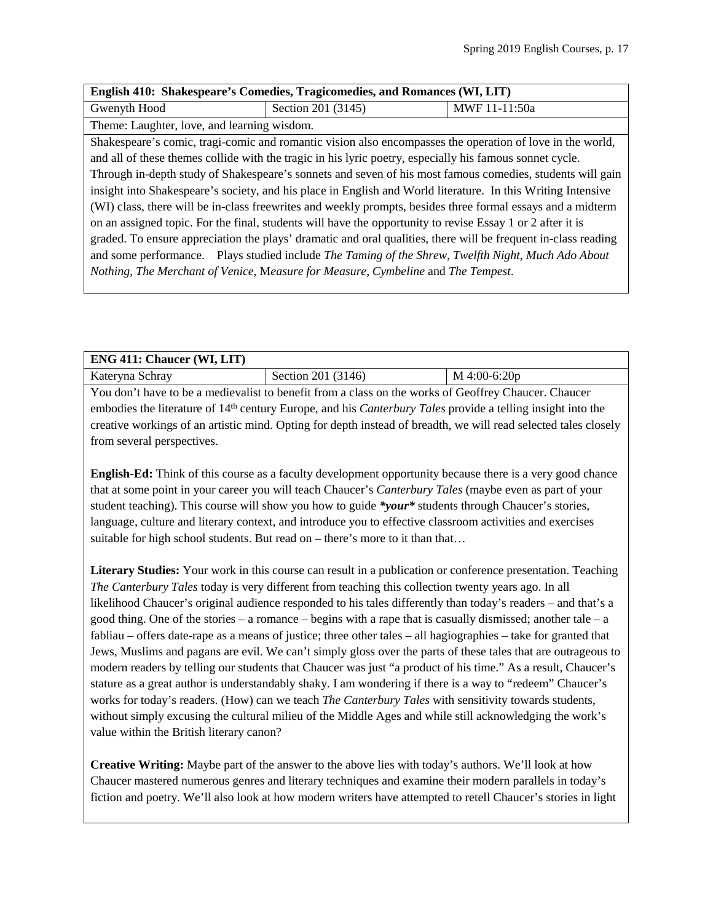| English 410: Shakespeare's Comedies, Tragicomedies, and Romances (WI, LIT)                                     |  |  |
|----------------------------------------------------------------------------------------------------------------|--|--|
| MWF 11-11:50a                                                                                                  |  |  |
|                                                                                                                |  |  |
| Shakespeare's comic, tragi-comic and romantic vision also encompasses the operation of love in the world,      |  |  |
| and all of these themes collide with the tragic in his lyric poetry, especially his famous sonnet cycle.       |  |  |
| Through in-depth study of Shakespeare's sonnets and seven of his most famous comedies, students will gain      |  |  |
| insight into Shakespeare's society, and his place in English and World literature. In this Writing Intensive   |  |  |
| (WI) class, there will be in-class freewrites and weekly prompts, besides three formal essays and a midterm    |  |  |
| on an assigned topic. For the final, students will have the opportunity to revise Essay 1 or 2 after it is     |  |  |
| graded. To ensure appreciation the plays' dramatic and oral qualities, there will be frequent in-class reading |  |  |
| and some performance. Plays studied include The Taming of the Shrew, Twelfth Night, Much Ado About             |  |  |
| Nothing, The Merchant of Venice, Measure for Measure, Cymbeline and The Tempest.                               |  |  |
|                                                                                                                |  |  |

| <b>ENG 411: Chaucer (WI, LIT)</b>                                                                             |                    |                |
|---------------------------------------------------------------------------------------------------------------|--------------------|----------------|
| Kateryna Schray                                                                                               | Section 201 (3146) | $M$ 4:00-6:20p |
| You don't have to be a medievalist to benefit from a class on the works of Geoffrey Chaucer. Chaucer          |                    |                |
| embodies the literature of $14th$ century Europe, and his Canterbury Tales provide a telling insight into the |                    |                |

century Europe, and his *Canterbury Tales* provide a telling insight into the creative workings of an artistic mind. Opting for depth instead of breadth, we will read selected tales closely from several perspectives.

**English-Ed:** Think of this course as a faculty development opportunity because there is a very good chance that at some point in your career you will teach Chaucer's *Canterbury Tales* (maybe even as part of your student teaching). This course will show you how to guide *\*your\** students through Chaucer's stories, language, culture and literary context, and introduce you to effective classroom activities and exercises suitable for high school students. But read on – there's more to it than that...

**Literary Studies:** Your work in this course can result in a publication or conference presentation. Teaching *The Canterbury Tales* today is very different from teaching this collection twenty years ago. In all likelihood Chaucer's original audience responded to his tales differently than today's readers – and that's a good thing. One of the stories – a romance – begins with a rape that is casually dismissed; another tale – a fabliau – offers date-rape as a means of justice; three other tales – all hagiographies – take for granted that Jews, Muslims and pagans are evil. We can't simply gloss over the parts of these tales that are outrageous to modern readers by telling our students that Chaucer was just "a product of his time." As a result, Chaucer's stature as a great author is understandably shaky. I am wondering if there is a way to "redeem" Chaucer's works for today's readers. (How) can we teach *The Canterbury Tales* with sensitivity towards students, without simply excusing the cultural milieu of the Middle Ages and while still acknowledging the work's value within the British literary canon?

**Creative Writing:** Maybe part of the answer to the above lies with today's authors. We'll look at how Chaucer mastered numerous genres and literary techniques and examine their modern parallels in today's fiction and poetry. We'll also look at how modern writers have attempted to retell Chaucer's stories in light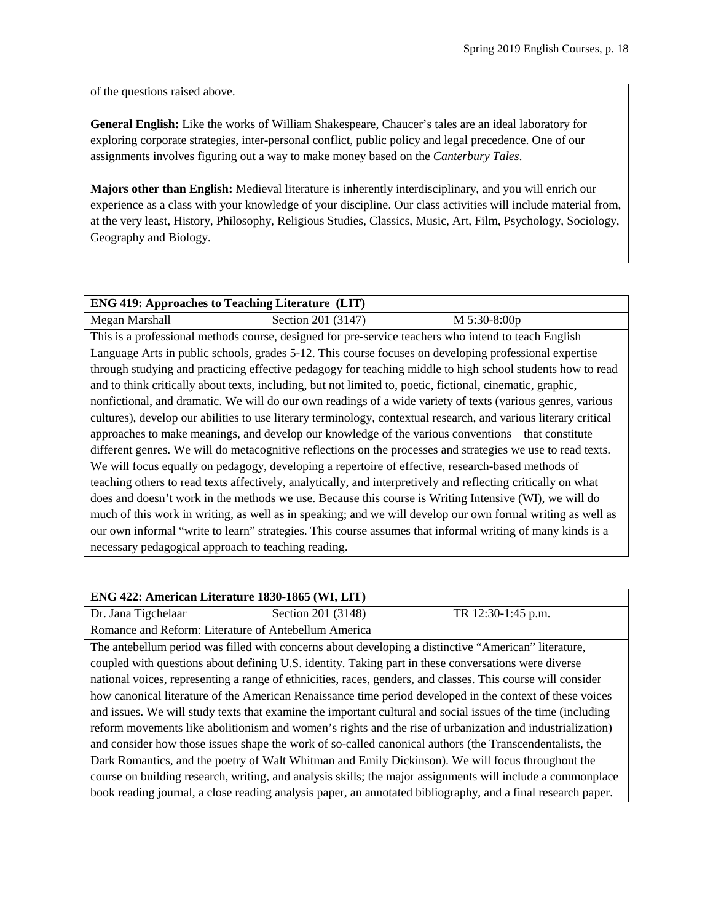of the questions raised above.

**General English:** Like the works of William Shakespeare, Chaucer's tales are an ideal laboratory for exploring corporate strategies, inter-personal conflict, public policy and legal precedence. One of our assignments involves figuring out a way to make money based on the *Canterbury Tales*.

**Majors other than English:** Medieval literature is inherently interdisciplinary, and you will enrich our experience as a class with your knowledge of your discipline. Our class activities will include material from, at the very least, History, Philosophy, Religious Studies, Classics, Music, Art, Film, Psychology, Sociology, Geography and Biology.

| <b>ENG 419: Approaches to Teaching Literature (LIT)</b>                                                       |                                                                                                                  |              |  |
|---------------------------------------------------------------------------------------------------------------|------------------------------------------------------------------------------------------------------------------|--------------|--|
| Megan Marshall                                                                                                | Section 201 (3147)                                                                                               | M 5:30-8:00p |  |
|                                                                                                               | This is a professional methods course, designed for pre-service teachers who intend to teach English             |              |  |
|                                                                                                               | Language Arts in public schools, grades 5-12. This course focuses on developing professional expertise           |              |  |
|                                                                                                               | through studying and practicing effective pedagogy for teaching middle to high school students how to read       |              |  |
|                                                                                                               | and to think critically about texts, including, but not limited to, poetic, fictional, cinematic, graphic,       |              |  |
|                                                                                                               | nonfictional, and dramatic. We will do our own readings of a wide variety of texts (various genres, various      |              |  |
|                                                                                                               | cultures), develop our abilities to use literary terminology, contextual research, and various literary critical |              |  |
|                                                                                                               | approaches to make meanings, and develop our knowledge of the various conventions that constitute                |              |  |
| different genres. We will do metacognitive reflections on the processes and strategies we use to read texts.  |                                                                                                                  |              |  |
| We will focus equally on pedagogy, developing a repertoire of effective, research-based methods of            |                                                                                                                  |              |  |
| teaching others to read texts affectively, analytically, and interpretively and reflecting critically on what |                                                                                                                  |              |  |
| does and doesn't work in the methods we use. Because this course is Writing Intensive (WI), we will do        |                                                                                                                  |              |  |
| much of this work in writing, as well as in speaking; and we will develop our own formal writing as well as   |                                                                                                                  |              |  |
| our own informal "write to learn" strategies. This course assumes that informal writing of many kinds is a    |                                                                                                                  |              |  |
| necessary pedagogical approach to teaching reading.                                                           |                                                                                                                  |              |  |

| ENG 422: American Literature 1830-1865 (WI, LIT)                                                             |                                                                                                              |                    |
|--------------------------------------------------------------------------------------------------------------|--------------------------------------------------------------------------------------------------------------|--------------------|
| Dr. Jana Tigchelaar                                                                                          | Section 201 (3148)                                                                                           | TR 12:30-1:45 p.m. |
| Romance and Reform: Literature of Antebellum America                                                         |                                                                                                              |                    |
|                                                                                                              | The antebellum period was filled with concerns about developing a distinctive "American" literature,         |                    |
|                                                                                                              | coupled with questions about defining U.S. identity. Taking part in these conversations were diverse         |                    |
|                                                                                                              | national voices, representing a range of ethnicities, races, genders, and classes. This course will consider |                    |
| how canonical literature of the American Renaissance time period developed in the context of these voices    |                                                                                                              |                    |
| and issues. We will study texts that examine the important cultural and social issues of the time (including |                                                                                                              |                    |
| reform movements like abolitionism and women's rights and the rise of urbanization and industrialization)    |                                                                                                              |                    |
| and consider how those issues shape the work of so-called canonical authors (the Transcendentalists, the     |                                                                                                              |                    |
| Dark Romantics, and the poetry of Walt Whitman and Emily Dickinson). We will focus throughout the            |                                                                                                              |                    |
| course on building research, writing, and analysis skills; the major assignments will include a commonplace  |                                                                                                              |                    |
|                                                                                                              | book reading journal, a close reading analysis paper, an annotated bibliography, and a final research paper. |                    |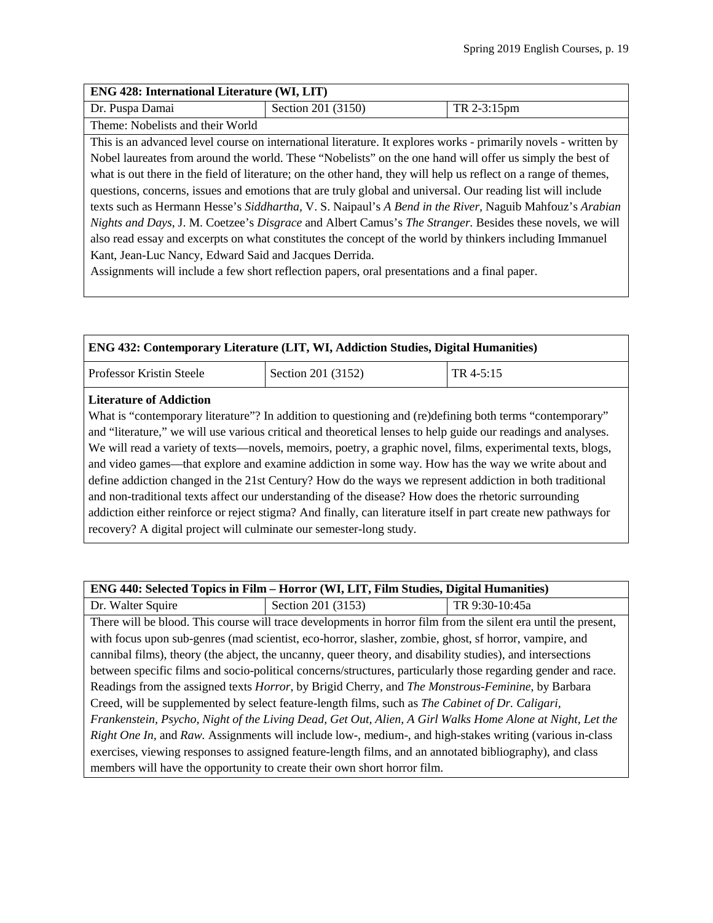| <b>ENG 428: International Literature (WI, LIT)</b>                                                          |                                                                                                                  |             |
|-------------------------------------------------------------------------------------------------------------|------------------------------------------------------------------------------------------------------------------|-------------|
| Dr. Puspa Damai                                                                                             | Section 201 (3150)                                                                                               | TR 2-3:15pm |
| Theme: Nobelists and their World                                                                            |                                                                                                                  |             |
|                                                                                                             | This is an advanced level course on international literature. It explores works - primarily novels - written by  |             |
|                                                                                                             | Nobel laureates from around the world. These "Nobelists" on the one hand will offer us simply the best of        |             |
|                                                                                                             | what is out there in the field of literature; on the other hand, they will help us reflect on a range of themes, |             |
| questions, concerns, issues and emotions that are truly global and universal. Our reading list will include |                                                                                                                  |             |
| texts such as Hermann Hesse's Siddhartha, V. S. Naipaul's A Bend in the River, Naguib Mahfouz's Arabian     |                                                                                                                  |             |
| Nights and Days, J. M. Coetzee's Disgrace and Albert Camus's The Stranger. Besides these novels, we will    |                                                                                                                  |             |
| also read essay and excerpts on what constitutes the concept of the world by thinkers including Immanuel    |                                                                                                                  |             |
| Kant, Jean-Luc Nancy, Edward Said and Jacques Derrida.                                                      |                                                                                                                  |             |
|                                                                                                             | Assignments will include a few short reflection papers, oral presentations and a final paper.                    |             |

| ENG 432: Contemporary Literature (LIT, WI, Addiction Studies, Digital Humanities)                                                                                                                                                                                                                                                                                                                                                                                                                                                                                                                                                                                                                                                                                                                                                                                                               |                    |           |
|-------------------------------------------------------------------------------------------------------------------------------------------------------------------------------------------------------------------------------------------------------------------------------------------------------------------------------------------------------------------------------------------------------------------------------------------------------------------------------------------------------------------------------------------------------------------------------------------------------------------------------------------------------------------------------------------------------------------------------------------------------------------------------------------------------------------------------------------------------------------------------------------------|--------------------|-----------|
| Professor Kristin Steele                                                                                                                                                                                                                                                                                                                                                                                                                                                                                                                                                                                                                                                                                                                                                                                                                                                                        | Section 201 (3152) | TR 4-5:15 |
| <b>Literature of Addiction</b><br>What is "contemporary literature"? In addition to questioning and (re)defining both terms "contemporary"<br>and "literature," we will use various critical and theoretical lenses to help guide our readings and analyses.<br>We will read a variety of texts-novels, memoirs, poetry, a graphic novel, films, experimental texts, blogs,<br>and video games—that explore and examine addiction in some way. How has the way we write about and<br>define addiction changed in the 21st Century? How do the ways we represent addiction in both traditional<br>and non-traditional texts affect our understanding of the disease? How does the rhetoric surrounding<br>addiction either reinforce or reject stigma? And finally, can literature itself in part create new pathways for<br>recovery? A digital project will culminate our semester-long study. |                    |           |

Dr. Walter Squire Section 201 (3153) TR 9:30-10:45a There will be blood. This course will trace developments in horror film from the silent era until the present, with focus upon sub-genres (mad scientist, eco-horror, slasher, zombie, ghost, sf horror, vampire, and cannibal films), theory (the abject, the uncanny, queer theory, and disability studies), and intersections between specific films and socio-political concerns/structures, particularly those regarding gender and race. Readings from the assigned texts *Horror*, by Brigid Cherry, and *The Monstrous-Feminine*, by Barbara Creed, will be supplemented by select feature-length films, such as *The Cabinet of Dr. Caligari, Frankenstein, Psycho, Night of the Living Dead, Get Out, Alien, A Girl Walks Home Alone at Night, Let the Right One In,* and *Raw.* Assignments will include low-, medium-, and high-stakes writing (various in-class exercises, viewing responses to assigned feature-length films, and an annotated bibliography), and class members will have the opportunity to create their own short horror film.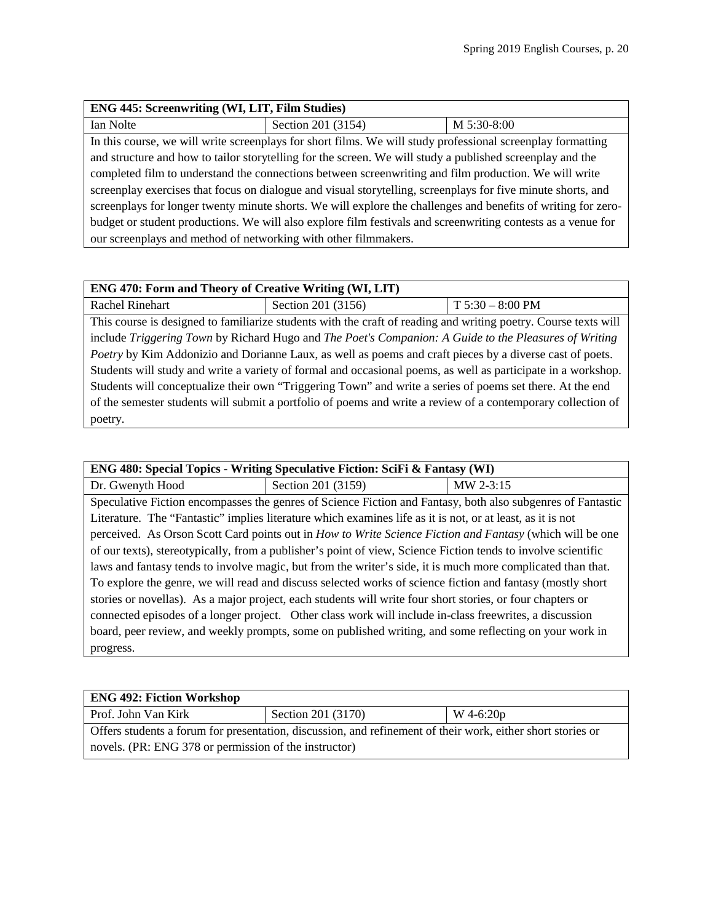| ENG 445: Screenwriting (WI, LIT, Film Studies)                                                                |                    |             |
|---------------------------------------------------------------------------------------------------------------|--------------------|-------------|
| Ian Nolte                                                                                                     | Section 201 (3154) | M 5:30-8:00 |
| In this course, we will write screenplays for short films. We will study professional screenplay formatting   |                    |             |
| and structure and how to tailor storytelling for the screen. We will study a published screenplay and the     |                    |             |
| completed film to understand the connections between screenwriting and film production. We will write         |                    |             |
| screenplay exercises that focus on dialogue and visual storytelling, screenplays for five minute shorts, and  |                    |             |
| screenplays for longer twenty minute shorts. We will explore the challenges and benefits of writing for zero- |                    |             |
| budget or student productions. We will also explore film festivals and screenwriting contests as a venue for  |                    |             |
| our screenplays and method of networking with other filmmakers.                                               |                    |             |

## **ENG 470: Form and Theory of Creative Writing (WI, LIT)**

poetry.

Rachel Rinehart Section 201 (3156) T 5:30 – 8:00 PM This course is designed to familiarize students with the craft of reading and writing poetry. Course texts will include *Triggering Town* by Richard Hugo and *The Poet's Companion: A Guide to the Pleasures of Writing Poetry* by Kim Addonizio and Dorianne Laux, as well as poems and craft pieces by a diverse cast of poets. Students will study and write a variety of formal and occasional poems, as well as participate in a workshop. Students will conceptualize their own "Triggering Town" and write a series of poems set there. At the end of the semester students will submit a portfolio of poems and write a review of a contemporary collection of

| <b>ENG 480: Special Topics - Writing Speculative Fiction: SciFi &amp; Fantasy (WI)</b> |  |  |
|----------------------------------------------------------------------------------------|--|--|
|                                                                                        |  |  |

Dr. Gwenyth Hood Section 201 (3159) MW 2-3:15 Speculative Fiction encompasses the genres of Science Fiction and Fantasy, both also subgenres of Fantastic Literature. The "Fantastic" implies literature which examines life as it is not, or at least, as it is not perceived. As Orson Scott Card points out in *How to Write Science Fiction and Fantasy* (which will be one of our texts), stereotypically, from a publisher's point of view, Science Fiction tends to involve scientific laws and fantasy tends to involve magic, but from the writer's side, it is much more complicated than that. To explore the genre, we will read and discuss selected works of science fiction and fantasy (mostly short stories or novellas). As a major project, each students will write four short stories, or four chapters or connected episodes of a longer project. Other class work will include in-class freewrites, a discussion board, peer review, and weekly prompts, some on published writing, and some reflecting on your work in progress.

| <b>ENG 492: Fiction Workshop</b>                                                                            |                    |                |
|-------------------------------------------------------------------------------------------------------------|--------------------|----------------|
| Prof. John Van Kirk                                                                                         | Section 201 (3170) | $W$ 4-6:20 $p$ |
| Offers students a forum for presentation, discussion, and refinement of their work, either short stories or |                    |                |
| novels. (PR: ENG 378 or permission of the instructor)                                                       |                    |                |